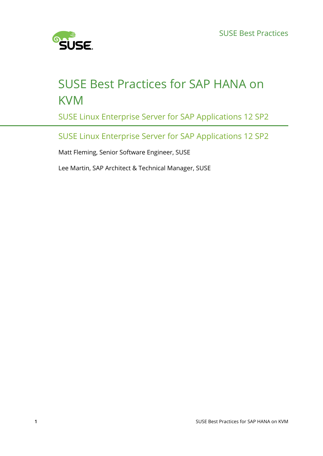

# SUSE Best Practices for SAP HANA on **KVM**

SUSE Linux Enterprise Server for SAP Applications 12 SP2

SUSE Linux Enterprise Server for SAP Applications 12 SP2

Matt Fleming, Senior Software Engineer, SUSE

Lee Martin, SAP Architect & Technical Manager, SUSE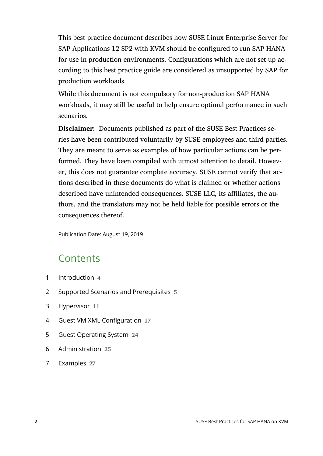This best practice document describes how SUSE Linux Enterprise Server for SAP Applications 12 SP2 with KVM should be configured to run SAP HANA for use in production environments. Configurations which are not set up according to this best practice guide are considered as unsupported by SAP for production workloads.

While this document is not compulsory for non-production SAP HANA workloads, it may still be useful to help ensure optimal performance in such scenarios.

**Disclaimer:** Documents published as part of the SUSE Best Practices series have been contributed voluntarily by SUSE employees and third parties. They are meant to serve as examples of how particular actions can be performed. They have been compiled with utmost attention to detail. However, this does not guarantee complete accuracy. SUSE cannot verify that actions described in these documents do what is claimed or whether actions described have unintended consequences. SUSE LLC, its affiliates, the authors, and the translators may not be held liable for possible errors or the consequences thereof.

Publication Date: August 19, 2019

# **Contents**

- [1](#page-3-0) [Introduction](#page-3-0) **4**
- [2](#page-4-0) Supported Scenarios and [Prerequisites](#page-4-0) **5**
- [3](#page-10-0) [Hypervisor](#page-10-0) **11**
- [4](#page-16-0) Guest VM XML [Configuration](#page-16-0) **17**
- [5](#page-23-0) Guest [Operating](#page-23-0) System **24**
- [6](#page-24-0) [Administration](#page-24-0) **25**
- [7](#page-26-0) [Examples](#page-26-0) **27**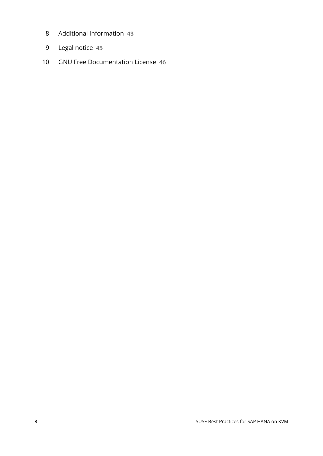- [Additional Information](#page-42-0) **43**
- [Legal notice](#page-44-0) **45**
- GNU Free [Documentation](#page-45-0) License **46**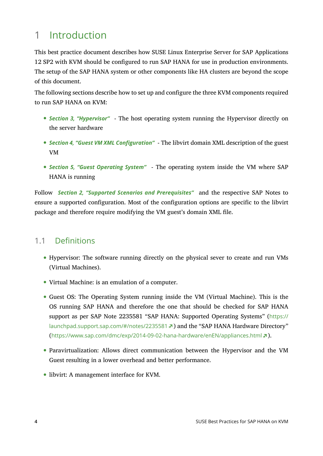# <span id="page-3-0"></span>1 Introduction

This best practice document describes how SUSE Linux Enterprise Server for SAP Applications 12 SP2 with KVM should be configured to run SAP HANA for use in production environments. The setup of the SAP HANA system or other components like HA clusters are beyond the scope of this document.

The following sections describe how to set up and configure the three KVM components required to run SAP HANA on KVM:

- *[Section 3, "Hypervisor"](#page-10-0)* The host operating system running the Hypervisor directly on the server hardware
- *[Section 4, "Guest VM XML Configuration"](#page-16-0)* The libvirt domain XML description of the guest VM
- *[Section 5, "Guest Operating System"](#page-23-0)* The operating system inside the VM where SAP HANA is running

Follow *[Section 2, "Supported Scenarios and Prerequisites"](#page-4-0)* and the respective SAP Notes to ensure a supported configuration. Most of the configuration options are specific to the libvirt package and therefore require modifying the VM guest's domain XML file.

# 1.1 Definitions

- Hypervisor: The software running directly on the physical sever to create and run VMs (Virtual Machines).
- Virtual Machine: is an emulation of a computer.
- Guest OS: The Operating System running inside the VM (Virtual Machine). This is the OS running SAP HANA and therefore the one that should be checked for SAP HANA support as per SAP Note 2235581 "SAP HANA: Supported Operating Systems" ([https://](https://launchpad.support.sap.com/#/notes/2235581) [launchpad.support.sap.com/#/notes/2235581](https://launchpad.support.sap.com/#/notes/2235581) ?) and the "SAP HANA Hardware Directory" (<https://www.sap.com/dmc/exp/2014-09-02-hana-hardware/enEN/appliances.html> ).
- Paravirtualization: Allows direct communication between the Hypervisor and the VM Guest resulting in a lower overhead and better performance.
- libvirt: A management interface for KVM.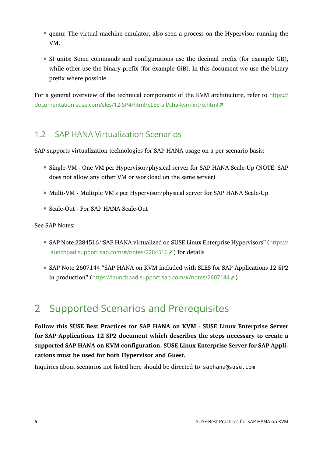- qemu: The virtual machine emulator, also seen a process on the Hypervisor running the VM.
- SI units: Some commands and configurations use the decimal prefix (for example GB), while other use the binary prefix (for example GiB). In this document we use the binary prefix where possible.

For a general overview of the technical components of the KVM architecture, refer to [https://](https://documentation.suse.com/sles/12-SP4/html/SLES-all/cha-kvm-intro.html) [documentation.suse.com/sles/12-SP4/html/SLES-all/cha-kvm-intro.html](https://documentation.suse.com/sles/12-SP4/html/SLES-all/cha-kvm-intro.html)

## 1.2 SAP HANA Virtualization Scenarios

SAP supports virtualization technologies for SAP HANA usage on a per scenario basis:

- Single-VM One VM per Hypervisor/physical server for SAP HANA Scale-Up (NOTE: SAP does not allow any other VM or workload on the same server)
- Multi-VM Multiple VM's per Hypervisor/physical server for SAP HANA Scale-Up
- Scale-Out For SAP HANA Scale-Out

See SAP Notes:

- SAP Note 2284516 "SAP HANA virtualized on SUSE Linux Enterprise Hypervisors" ([https://](https://launchpad.support.sap.com/#/notes/2284516) [launchpad.support.sap.com/#/notes/2284516](https://launchpad.support.sap.com/#/notes/2284516) ) for details
- SAP Note 2607144 "SAP HANA on KVM included with SLES for SAP Applications 12 SP2 in production" (<https://launchpad.support.sap.com/#/notes/2607144> a)

# <span id="page-4-0"></span>2 Supported Scenarios and Prerequisites

**Follow this SUSE Best Practices for SAP HANA on KVM - SUSE Linux Enterprise Server for SAP Applications 12 SP2 document which describes the steps necessary to create a supported SAP HANA on KVM configuration. SUSE Linux Enterprise Server for SAP Applications must be used for both Hypervisor and Guest.**

Inquiries about scenarios not listed here should be directed to saphana@suse.com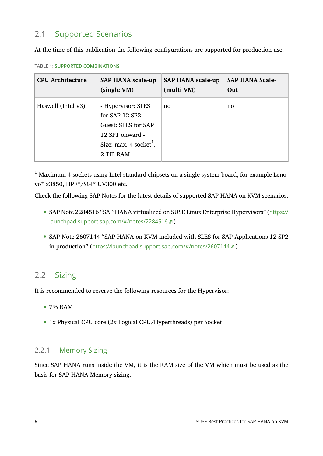# 2.1 Supported Scenarios

At the time of this publication the following configurations are supported for production use:

| <b>CPU Architecture</b> | <b>SAP HANA scale-up</b>                                                                                                                  | <b>SAP HANA scale-up</b> | <b>SAP HANA Scale-</b> |
|-------------------------|-------------------------------------------------------------------------------------------------------------------------------------------|--------------------------|------------------------|
|                         | (single VM)                                                                                                                               | (multi VM)               | Out                    |
| Haswell (Intel v3)      | - Hypervisor: SLES<br>for SAP 12 SP2 -<br><b>Guest: SLES for SAP</b><br>12 SP1 onward -<br>Size: max. $4 \text{ socket}^1$ ,<br>2 TiB RAM | no                       | no                     |

<span id="page-5-0"></span>**TABLE 1: SUPPORTED COMBINATIONS**

 $<sup>1</sup>$  Maximum 4 sockets using Intel standard chipsets on a single system board, for example Leno-</sup> vo\* x3850, HPE\*/SGI\* UV300 etc.

Check the following SAP Notes for the latest details of supported SAP HANA on KVM scenarios.

- SAP Note 2284516 "SAP HANA virtualized on SUSE Linux Enterprise Hypervisors" ([https://](https://launchpad.support.sap.com/#/notes/2284516) [launchpad.support.sap.com/#/notes/2284516](https://launchpad.support.sap.com/#/notes/2284516) 7)
- SAP Note 2607144 "SAP HANA on KVM included with SLES for SAP Applications 12 SP2 in production" (<https://launchpad.support.sap.com/#/notes/2607144> ?)

## 2.2 Sizing

It is recommended to reserve the following resources for the Hypervisor:

- 7% RAM
- <span id="page-5-1"></span>1x Physical CPU core (2x Logical CPU/Hyperthreads) per Socket

### 2.2.1 Memory Sizing

Since SAP HANA runs inside the VM, it is the RAM size of the VM which must be used as the basis for SAP HANA Memory sizing.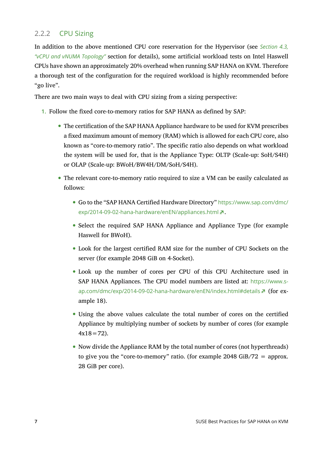### 2.2.2 CPU Sizing

In addition to the above mentioned CPU core reservation for the Hypervisor (see *[Section 4.3,](#page-17-0) ["vCPU and vNUMA Topology"](#page-17-0)* section for details), some artificial workload tests on Intel Haswell CPUs have shown an approximately 20% overhead when running SAP HANA on KVM. Therefore a thorough test of the configuration for the required workload is highly recommended before "go live".

There are two main ways to deal with CPU sizing from a sizing perspective:

- 1. Follow the fixed core-to-memory ratios for SAP HANA as defined by SAP:
	- The certification of the SAP HANA Appliance hardware to be used for KVM prescribes a fixed maximum amount of memory (RAM) which is allowed for each CPU core, also known as "core-to-memory ratio". The specific ratio also depends on what workload the system will be used for, that is the Appliance Type: OLTP (Scale-up: SoH/S4H) or OLAP (Scale-up: BWoH/BW4H/DM/SoH/S4H).
	- The relevant core-to-memory ratio required to size a VM can be easily calculated as follows:
		- Go to the "SAP HANA Certified Hardware Directory" [https://www.sap.com/dmc/](https://www.sap.com/dmc/exp/2014-09-02-hana-hardware/enEN/appliances.html) [exp/2014-09-02-hana-hardware/enEN/appliances.html](https://www.sap.com/dmc/exp/2014-09-02-hana-hardware/enEN/appliances.html) **a**.
		- Select the required SAP HANA Appliance and Appliance Type (for example Haswell for BWoH).
		- Look for the largest certified RAM size for the number of CPU Sockets on the server (for example 2048 GiB on 4-Socket).
		- Look up the number of cores per CPU of this CPU Architecture used in SAP HANA Appliances. The CPU model numbers are listed at: [https://www.s](https://www.sap.com/dmc/exp/2014-09-02-hana-hardware/enEN/index.html#details)[ap.com/dmc/exp/2014-09-02-hana-hardware/enEN/index.html#details](https://www.sap.com/dmc/exp/2014-09-02-hana-hardware/enEN/index.html#details) 7 (for example 18).
		- Using the above values calculate the total number of cores on the certified Appliance by multiplying number of sockets by number of cores (for example  $4x18=72$ ).
		- Now divide the Appliance RAM by the total number of cores (not hyperthreads) to give you the "core-to-memory" ratio. (for example 2048 GiB/72  $=$  approx. 28 GiB per core).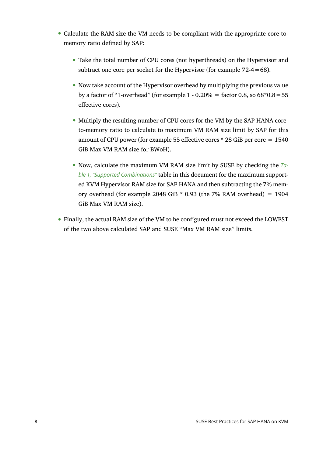- Calculate the RAM size the VM needs to be compliant with the appropriate core-tomemory ratio defined by SAP:
	- Take the total number of CPU cores (not hyperthreads) on the Hypervisor and subtract one core per socket for the Hypervisor (for example  $72-4=68$ ).
	- Now take account of the Hypervisor overhead by multiplying the previous value by a factor of "1-overhead" (for example  $1 - 0.20\% =$  factor 0.8, so  $68*0.8 = 55$ effective cores).
	- Multiply the resulting number of CPU cores for the VM by the SAP HANA coreto-memory ratio to calculate to maximum VM RAM size limit by SAP for this amount of CPU power (for example 55 effective cores  $*$  28 GiB per core  $= 1540$ ) GiB Max VM RAM size for BWoH).
	- Now, calculate the maximum VM RAM size limit by SUSE by checking the *Ta[ble 1, "Supported Combinations"](#page-5-0)* table in this document for the maximum supported KVM Hypervisor RAM size for SAP HANA and then subtracting the 7% memory overhead (for example 2048 GiB  $*$  0.93 (the 7% RAM overhead) = 1904 GiB Max VM RAM size).
- Finally, the actual RAM size of the VM to be configured must not exceed the LOWEST of the two above calculated SAP and SUSE "Max VM RAM size" limits.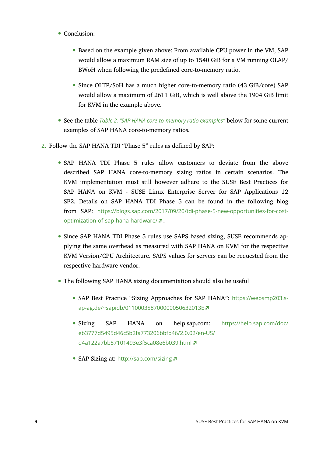- Conclusion:
	- Based on the example given above: From available CPU power in the VM, SAP would allow a maximum RAM size of up to 1540 GiB for a VM running OLAP/ BWoH when following the predefined core-to-memory ratio.
	- Since OLTP/SoH has a much higher core-to-memory ratio (43 GiB/core) SAP would allow a maximum of 2611 GiB, which is well above the 1904 GiB limit for KVM in the example above.
- See the table *Table 2, "SAP HANA [core-to-memory](#page-9-0) ratio examples"* below for some current examples of SAP HANA core-to-memory ratios.
- **2.** Follow the SAP HANA TDI "Phase 5" rules as defined by SAP:
	- SAP HANA TDI Phase 5 rules allow customers to deviate from the above described SAP HANA core-to-memory sizing ratios in certain scenarios. The KVM implementation must still however adhere to the SUSE Best Practices for SAP HANA on KVM - SUSE Linux Enterprise Server for SAP Applications 12 SP2. Details on SAP HANA TDI Phase 5 can be found in the following blog from SAP: [https://blogs.sap.com/2017/09/20/tdi-phase-5-new-opportunities-for-cost](https://blogs.sap.com/2017/09/20/tdi-phase-5-new-opportunities-for-cost-optimization-of-sap-hana-hardware/)[optimization-of-sap-hana-hardware/](https://blogs.sap.com/2017/09/20/tdi-phase-5-new-opportunities-for-cost-optimization-of-sap-hana-hardware/) 2.
	- Since SAP HANA TDI Phase 5 rules use SAPS based sizing, SUSE recommends applying the same overhead as measured with SAP HANA on KVM for the respective KVM Version/CPU Architecture. SAPS values for servers can be requested from the respective hardware vendor.
	- The following SAP HANA sizing documentation should also be useful
		- SAP Best Practice "Sizing Approaches for SAP HANA": [https://websmp203.s](https://websmp203.sap-ag.de/~sapidb/011000358700000050632013E)[ap-ag.de/~sapidb/011000358700000050632013E](https://websmp203.sap-ag.de/~sapidb/011000358700000050632013E)
		- Sizing SAP HANA on help.sap.com: [https://help.sap.com/doc/](https://help.sap.com/doc/eb3777d5495d46c5b2fa773206bbfb46/2.0.02/en-US/d4a122a7bb57101493e3f5ca08e6b039.html) [eb3777d5495d46c5b2fa773206bbfb46/2.0.02/en-US/](https://help.sap.com/doc/eb3777d5495d46c5b2fa773206bbfb46/2.0.02/en-US/d4a122a7bb57101493e3f5ca08e6b039.html) [d4a122a7bb57101493e3f5ca08e6b039.html](https://help.sap.com/doc/eb3777d5495d46c5b2fa773206bbfb46/2.0.02/en-US/d4a122a7bb57101493e3f5ca08e6b039.html)
		- SAP Sizing at: <http://sap.com/sizing> **a**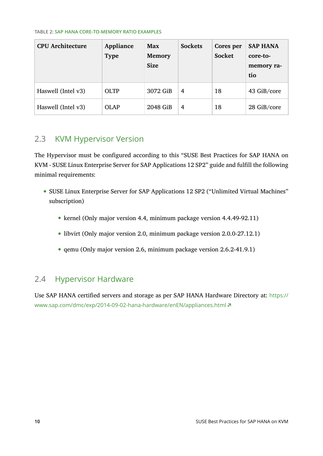#### <span id="page-9-0"></span>**TABLE 2: SAP HANA CORE-TO-MEMORY RATIO EXAMPLES**

| <b>CPU Architecture</b> | Appliance<br><b>Type</b> | Max<br><b>Memory</b><br><b>Size</b> | <b>Sockets</b> | Cores per<br><b>Socket</b> | <b>SAP HANA</b><br>core-to-<br>memory ra-<br>tio |
|-------------------------|--------------------------|-------------------------------------|----------------|----------------------------|--------------------------------------------------|
| Haswell (Intel v3)      | <b>OLTP</b>              | 3072 GiB                            | 4              | 18                         | 43 GiB/core                                      |
| Haswell (Intel v3)      | OLAP                     | 2048 GiB                            | 4              | 18                         | 28 GiB/core                                      |

# 2.3 KVM Hypervisor Version

The Hypervisor must be configured according to this "SUSE Best Practices for SAP HANA on KVM - SUSE Linux Enterprise Server for SAP Applications 12 SP2" guide and fulfill the following minimal requirements:

- SUSE Linux Enterprise Server for SAP Applications 12 SP2 ("Unlimited Virtual Machines" subscription)
	- kernel (Only major version 4.4, minimum package version 4.4.49-92.11)
	- libvirt (Only major version 2.0, minimum package version 2.0.0-27.12.1)
	- qemu (Only major version 2.6, minimum package version 2.6.2-41.9.1)

## 2.4 Hypervisor Hardware

Use SAP HANA certified servers and storage as per SAP HANA Hardware Directory at: [https://](https://www.sap.com/dmc/exp/2014-09-02-hana-hardware/enEN/appliances.html) [www.sap.com/dmc/exp/2014-09-02-hana-hardware/enEN/appliances.html](https://www.sap.com/dmc/exp/2014-09-02-hana-hardware/enEN/appliances.html)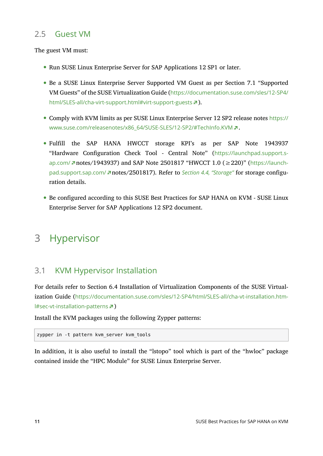## 2.5 Guest VM

The guest VM must:

- Run SUSE Linux Enterprise Server for SAP Applications 12 SP1 or later.
- Be a SUSE Linux Enterprise Server Supported VM Guest as per Section 7.1 "Supported VM Guests" of the SUSE Virtualization Guide ([https://documentation.suse.com/sles/12-SP4/](https://documentation.suse.com/sles/12-SP4/html/SLES-all/cha-virt-support.html#virt-support-guests) [html/SLES-all/cha-virt-support.html#virt-support-guests](https://documentation.suse.com/sles/12-SP4/html/SLES-all/cha-virt-support.html#virt-support-guests) 7).
- Comply with KVM limits as per SUSE Linux Enterprise Server 12 SP2 release notes [https://](https://www.suse.com/releasenotes/x86_64/SUSE-SLES/12-SP2/#TechInfo.KVM) [www.suse.com/releasenotes/x86\\_64/SUSE-SLES/12-SP2/#TechInfo.KVM](https://www.suse.com/releasenotes/x86_64/SUSE-SLES/12-SP2/#TechInfo.KVM) .
- Fulfill the SAP HANA HWCCT storage KPI's as per SAP Note 1943937 "Hardware Configuration Check Tool - Central Note" ([https://launchpad.support.s](https://launchpad.support.sap.com/)[ap.com/](https://launchpad.support.sap.com/) notes/1943937) and SAP Note 2501817 "HWCCT 1.0 (≥220)" ([https://launch](https://launchpad.support.sap.com/)[pad.support.sap.com/](https://launchpad.support.sap.com/) notes/2501817). Refer to *[Section 4.4, "Storage"](#page-21-0)* for storage configuration details.
- <span id="page-10-0"></span>Be configured according to this SUSE Best Practices for SAP HANA on KVM - SUSE Linux Enterprise Server for SAP Applications 12 SP2 document.

# 3 Hypervisor

## 3.1 KVM Hypervisor Installation

For details refer to Section 6.4 Installation of Virtualization Components of the SUSE Virtualization Guide ([https://documentation.suse.com/sles/12-SP4/html/SLES-all/cha-vt-installation.htm](https://documentation.suse.com/sles/12-SP4/html/SLES-all/cha-vt-installation.html#sec-vt-installation-patterns)[l#sec-vt-installation-patterns](https://documentation.suse.com/sles/12-SP4/html/SLES-all/cha-vt-installation.html#sec-vt-installation-patterns) )

Install the KVM packages using the following Zypper patterns:

zypper in -t pattern kvm\_server kvm\_tools

In addition, it is also useful to install the "lstopo" tool which is part of the "hwloc" package contained inside the "HPC Module" for SUSE Linux Enterprise Server.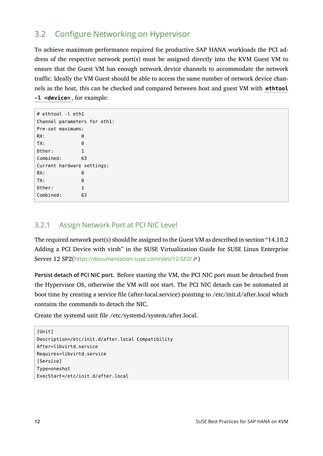# 3.2 Configure Networking on Hypervisor

To achieve maximum performance required for productive SAP HANA workloads the PCI address of the respective network port(s) must be assigned directly into the KVM Guest VM to ensure that the Guest VM has enough network device channels to accommodate the network traffic. Ideally the VM Guest should be able to access the same number of network device channels as the host, this can be checked and compared between host and guest VM with **ethtool -l <device>** , for example:

| # ethtool -l eth1            |    |  |  |  |  |  |  |  |
|------------------------------|----|--|--|--|--|--|--|--|
| Channel parameters for ethl: |    |  |  |  |  |  |  |  |
| Pre-set maximums:            |    |  |  |  |  |  |  |  |
| RX:                          | 0  |  |  |  |  |  |  |  |
| TX:                          | 0  |  |  |  |  |  |  |  |
| Other:                       | 1  |  |  |  |  |  |  |  |
| Combined:<br>63              |    |  |  |  |  |  |  |  |
| Current hardware settings:   |    |  |  |  |  |  |  |  |
| RX:                          | 0  |  |  |  |  |  |  |  |
| TX:                          | 0  |  |  |  |  |  |  |  |
| Other:                       | 1  |  |  |  |  |  |  |  |
| Combined:                    | 63 |  |  |  |  |  |  |  |

### 3.2.1 Assign Network Port at PCI NIC Level

The required network port(s) should be assigned to the Guest VM as described in section "14.10.2 Adding a PCI Device with virsh" in the SUSE Virtualization Guide for SUSE Linux Enterprise Server 12 SP2(<https://documentation.suse.com/sles/12-SP2/> 7)

**Persist detach of PCI NIC port.** Before starting the VM, the PCI NIC port must be detached from the Hypervisor OS, otherwise the VM will not start. The PCI NIC detach can be automated at boot time by creating a service file (after-local.service) pointing to /etc/init.d/after.local which contains the commands to detach the NIC.

Create the systemd unit file /etc/systemd/system/after.local.

```
[Unit]
Description=/etc/init.d/after.local Compatibility
After=libvirtd.service
Requires=libvirtd.service
[Service]
Type=oneshot
ExecStart=/etc/init.d/after.local
```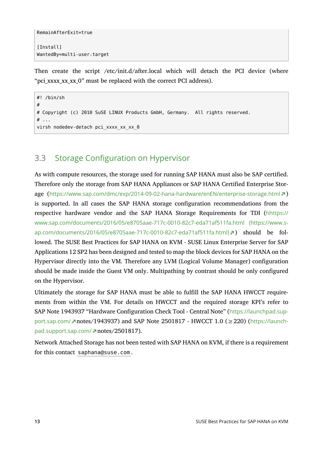```
RemainAfterExit=true
```

```
[Install]
WantedBy=multi-user.target
```
Then create the script /etc/init.d/after.local which will detach the PCI device (where "pci xxxx xx xx 0" must be replaced with the correct PCI address).

```
#! /bin/sh
#
# Copyright (c) 2010 SuSE LINUX Products GmbH, Germany. All rights reserved.
# \dotsvirsh nodedev-detach pci_xxxx xx xx 0
```
# <span id="page-12-0"></span>3.3 Storage Configuration on Hypervisor

As with compute resources, the storage used for running SAP HANA must also be SAP certified. Therefore only the storage from SAP HANA Appliances or SAP HANA Certified Enterprise Storage (<https://www.sap.com/dmc/exp/2014-09-02-hana-hardware/enEN/enterprise-storage.html> a) is supported. In all cases the SAP HANA storage configuration recommendations from the respective hardware vendor and the SAP HANA Storage Requirements for TDI ([hhttps://](https://www.sap.com/documents/2016/05/e8705aae-717c-0010-82c7-eda71af511fa.html) [www.sap.com/documents/2016/05/e8705aae-717c-0010-82c7-eda71af511fa.html \(https://www.s](https://www.sap.com/documents/2016/05/e8705aae-717c-0010-82c7-eda71af511fa.html)[ap.com/documents/2016/05/e8705aae-717c-0010-82c7-eda71af511fa.html\)](https://www.sap.com/documents/2016/05/e8705aae-717c-0010-82c7-eda71af511fa.html) > should be followed. The SUSE Best Practices for SAP HANA on KVM - SUSE Linux Enterprise Server for SAP Applications 12 SP2 has been designed and tested to map the block devices for SAP HANA on the Hypervisor directly into the VM. Therefore any LVM (Logical Volume Manager) configuration should be made inside the Guest VM only. Multipathing by contrast should be only configured on the Hypervisor.

Ultimately the storage for SAP HANA must be able to fulfill the SAP HANA HWCCT requirements from within the VM. For details on HWCCT and the required storage KPI's refer to SAP Note 1943937 "Hardware Configuration Check Tool - Central Note" ([https://launchpad.sup](https://launchpad.support.sap.com/)[port.sap.com/](https://launchpad.support.sap.com/) notes/1943937) and SAP Note 2501817 - HWCCT 1.0 ( $\geq$ 220) ([https://launch](https://launchpad.support.sap.com/)[pad.support.sap.com/](https://launchpad.support.sap.com/) notes/2501817).

Network Attached Storage has not been tested with SAP HANA on KVM, if there is a requirement for this contact saphana@suse.com .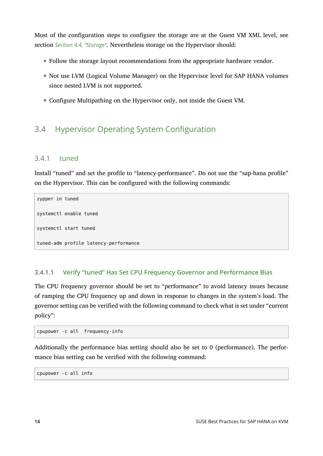Most of the configuration steps to configure the storage are at the Guest VM XML level, see section *[Section 4.4, "Storage"](#page-21-0)*. Nevertheless storage on the Hypervisor should:

- Follow the storage layout recommendations from the appropriate hardware vendor.
- Not use LVM (Logical Volume Manager) on the Hypervisor level for SAP HANA volumes since nested LVM is not supported.
- Configure Multipathing on the Hypervisor only, not inside the Guest VM.

# 3.4 Hypervisor Operating System Configuration

#### 3.4.1 tuned

Install "tuned" and set the profile to "latency-performance". Do not use the "sap-hana profile" on the Hypervisor. This can be configured with the following commands:

```
zypper in tuned
systemctl enable tuned
systemctl start tuned
tuned-adm profile latency-performance
```
#### **3.4.1.1 Verify "tuned" Has Set CPU Frequency Governor and Performance Bias**

The CPU frequency governor should be set to "performance" to avoid latency issues because of ramping the CPU frequency up and down in response to changes in the system's load. The governor setting can be verified with the following command to check what is set under "current policy":

cpupower -c all frequency-info

Additionally the performance bias setting should also be set to 0 (performance). The performance bias setting can be verified with the following command:

cpupower -c all info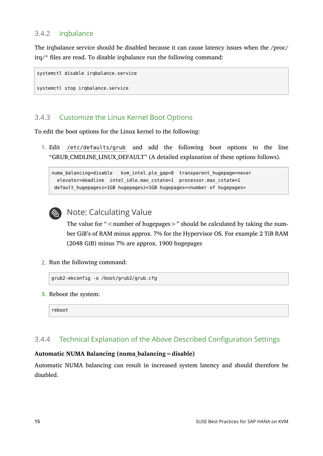### 3.4.2 irqbalance

The irqbalance service should be disabled because it can cause latency issues when the /proc/  $irq/*$  files are read. To disable irqbalance run the following command:

```
systemctl disable irqbalance.service
```
#### systemctl stop irqbalance.service

## 3.4.3 Customize the Linux Kernel Boot Options

To edit the boot options for the Linux kernel to the following:

**1.** Edit /etc/defaults/grub and add the following boot options to the line "GRUB\_CMDLINE\_LINUX\_DEFAULT" (A detailed explanation of these options follows).

```
numa balancing=disable kvm intel.ple gap=0 transparent hugepage=never
 elevator=deadline intel idle.max cstate=1 processor.max cstate=1
 default_hugepagesz=1GB hugepagesz=1GB hugepages=<number of hugepages>
```


## Note: Calculating Value

The value for " $\leq$  number of hugepages $>$ " should be calculated by taking the number GiB's of RAM minus approx. 7% for the Hypervisor OS. For example 2 TiB RAM (2048 GiB) minus 7% are approx. 1900 hugepages

**2.** Run the following command:

```
grub2-mkconfig -o /boot/grub2/grub.cfg
```
**3.** Reboot the system:

reboot

## 3.4.4 Technical Explanation of the Above Described Configuration Settings

#### **Automatic NUMA Balancing (numa\_balancing=disable)**

Automatic NUMA balancing can result in increased system latency and should therefore be disabled.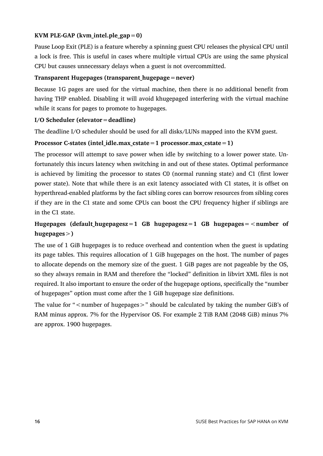#### **KVM PLE-GAP (kvm\_intel.ple\_gap=0)**

Pause Loop Exit (PLE) is a feature whereby a spinning guest CPU releases the physical CPU until a lock is free. This is useful in cases where multiple virtual CPUs are using the same physical CPU but causes unnecessary delays when a guest is not overcommitted.

#### **Transparent Hugepages (transparent\_hugepage=never)**

Because 1G pages are used for the virtual machine, then there is no additional benefit from having THP enabled. Disabling it will avoid khugepaged interfering with the virtual machine while it scans for pages to promote to hugepages.

#### **I/O Scheduler (elevator=deadline)**

The deadline I/O scheduler should be used for all disks/LUNs mapped into the KVM guest.

#### **Processor C-states (intel\_idle.max\_cstate=1 processor.max\_cstate=1)**

The processor will attempt to save power when idle by switching to a lower power state. Unfortunately this incurs latency when switching in and out of these states. Optimal performance is achieved by limiting the processor to states C0 (normal running state) and C1 (first lower power state). Note that while there is an exit latency associated with C1 states, it is offset on hyperthread-enabled platforms by the fact sibling cores can borrow resources from sibling cores if they are in the C1 state and some CPUs can boost the CPU frequency higher if siblings are in the C1 state.

### **Hugepages (default\_hugepagesz=1 GB hugepagesz=1 GB hugepages=<number of hugepages>)**

The use of 1 GiB hugepages is to reduce overhead and contention when the guest is updating its page tables. This requires allocation of 1 GiB hugepages on the host. The number of pages to allocate depends on the memory size of the guest. 1 GiB pages are not pageable by the OS, so they always remain in RAM and therefore the "locked" definition in libvirt XML files is not required. It also important to ensure the order of the hugepage options, specifically the "number of hugepages" option must come after the 1 GiB hugepage size definitions.

The value for " $\leq$  number of hugepages $>$ " should be calculated by taking the number GiB's of RAM minus approx. 7% for the Hypervisor OS. For example 2 TiB RAM (2048 GiB) minus 7% are approx. 1900 hugepages.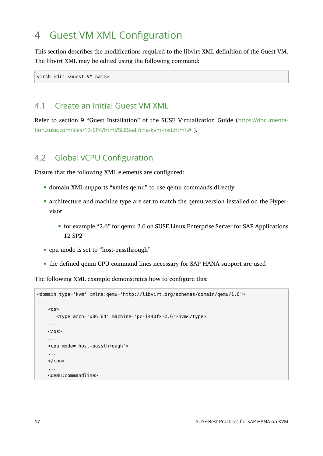# <span id="page-16-0"></span>4 Guest VM XML Configuration

This section describes the modifications required to the libvirt XML definition of the Guest VM. The libvirt XML may be edited using the following command:

virsh edit <Guest VM name>

### 4.1 Create an Initial Guest VM XML

<span id="page-16-1"></span>Refer to section 9 "Guest Installation" of the SUSE Virtualization Guide ([https://documenta](https://documentation.suse.com/sles/12-SP4/html/SLES-all/cha-kvm-inst.html)[tion.suse.com/sles/12-SP4/html/SLES-all/cha-kvm-inst.html](https://documentation.suse.com/sles/12-SP4/html/SLES-all/cha-kvm-inst.html) 7).

## 4.2 Global vCPU Configuration

Ensure that the following XML elements are configured:

- domain XML supports "xmlns:qemu" to use qemu commands directly
- architecture and machine type are set to match the gemu version installed on the Hypervisor
	- for example "2.6" for qemu 2.6 on SUSE Linux Enterprise Server for SAP Applications 12 SP2
- cpu mode is set to "host-passthrough"
- the defined qemu CPU command lines necessary for SAP HANA support are used

The following XML example demonstrates how to configure this:

```
<domain type='kvm' xmlns:qemu='http://libvirt.org/schemas/domain/qemu/1.0'>
...
    \leq <type arch='x86_64' machine='pc-i440fx-2.6'>hvm</type>
     ...
    </0s ...
     <cpu mode='host-passthrough'>
     ...
     </cpu>
     ...
     <qemu:commandline>
```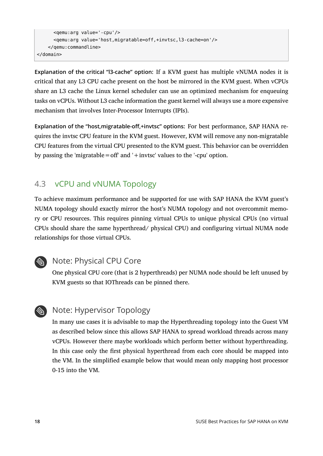```
 <qemu:arg value='-cpu'/>
       <qemu:arg value='host,migratable=off,+invtsc,l3-cache=on'/>
     </qemu:commandline>
</domain>
```
**Explanation of the critical "l3-cache" option:** If a KVM guest has multiple vNUMA nodes it is critical that any L3 CPU cache present on the host be mirrored in the KVM guest. When vCPUs share an L3 cache the Linux kernel scheduler can use an optimized mechanism for enqueuing tasks on vCPUs. Without L3 cache information the guest kernel will always use a more expensive mechanism that involves Inter-Processor Interrupts (IPIs).

**Explanation of the "host,migratable-off,+invtsc" options:** For best performance, SAP HANA requires the invtsc CPU feature in the KVM guest. However, KVM will remove any non-migratable CPU features from the virtual CPU presented to the KVM guest. This behavior can be overridden by passing the 'migratable = off' and '+invtsc' values to the '-cpu' option.

# <span id="page-17-0"></span>4.3 vCPU and vNUMA Topology

To achieve maximum performance and be supported for use with SAP HANA the KVM guest's NUMA topology should exactly mirror the host's NUMA topology and not overcommit memory or CPU resources. This requires pinning virtual CPUs to unique physical CPUs (no virtual CPUs should share the same hyperthread/ physical CPU) and configuring virtual NUMA node relationships for those virtual CPUs.



# **Note: Physical CPU Core**

One physical CPU core (that is 2 hyperthreads) per NUMA node should be left unused by KVM guests so that IOThreads can be pinned there.



## Note: Hypervisor Topology

In many use cases it is advisable to map the Hyperthreading topology into the Guest VM as described below since this allows SAP HANA to spread workload threads across many vCPUs. However there maybe workloads which perform better without hyperthreading. In this case only the first physical hyperthread from each core should be mapped into the VM. In the simplified example below that would mean only mapping host processor 0-15 into the VM.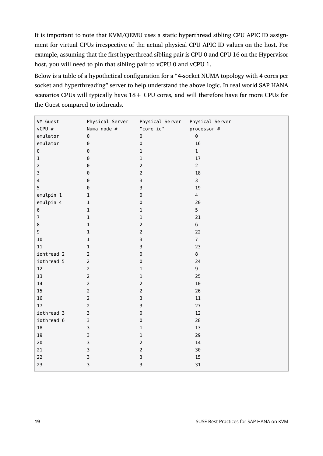It is important to note that KVM/QEMU uses a static hyperthread sibling CPU APIC ID assignment for virtual CPUs irrespective of the actual physical CPU APIC ID values on the host. For example, assuming that the first hyperthread sibling pair is CPU 0 and CPU 16 on the Hypervisor host, you will need to pin that sibling pair to vCPU 0 and vCPU 1.

Below is a table of a hypothetical configuration for a "4-socket NUMA topology with 4 cores per socket and hyperthreading" server to help understand the above logic. In real world SAP HANA scenarios CPUs will typically have  $18 +$  CPU cores, and will therefore have far more CPUs for the Guest compared to iothreads.

| VM Guest                | Physical Server | Physical Server | Physical Server         |
|-------------------------|-----------------|-----------------|-------------------------|
| vCPU #                  | Numa node #     | "core id"       | processor #             |
| emulator                | $\Theta$        | $\Theta$        | $\Theta$                |
| emulator                | $\Theta$        | $\Theta$        | $16\,$                  |
| $\Theta$                | $\Theta$        | $\mathbf 1$     | $\mathbf{1}$            |
| $\mathbf 1$             | $\Theta$        | $\mathbf 1$     | $17\,$                  |
| $\mathbf 2$             | $\Theta$        | $\overline{2}$  | $\overline{2}$          |
| 3                       | $\Theta$        | $\overline{2}$  | $18\,$                  |
| $\overline{\mathbf{4}}$ | $\Theta$        | $\mathsf{3}$    | $\overline{\mathbf{3}}$ |
| 5                       | $\Theta$        | 3               | $19\,$                  |
| emulpin 1               | $\mathbf 1$     | $\Theta$        | $\overline{4}$          |
| emulpin 4               | $\mathbf 1$     | $\Theta$        | 20                      |
| $\bf 6$                 | $\mathbf 1$     | $\mathbf 1$     | 5                       |
| $\boldsymbol{7}$        | $\mathbf 1$     | $\mathbf 1$     | $21\,$                  |
| $\bf 8$                 | $\mathbf 1$     | $\overline{2}$  | 6                       |
| 9                       | $\mathbf 1$     | $\overline{2}$  | 22                      |
| 10                      | $\mathbf 1$     | $\mathsf 3$     | $\overline{7}$          |
| $11\,$                  | $\mathbf{1}$    | 3               | 23                      |
| iohtread 2              | $\mathbf 2$     | $\Theta$        | $\,8\,$                 |
| iothread 5              |                 | $\Theta$        | 24                      |
| 12                      | $\overline{2}$  | $\mathbf 1$     | 9                       |
| 13                      | $\mathbf 2$     | $\mathbf 1$     | 25                      |
| $14\,$                  | $\mathbf 2$     | $\overline{2}$  | $10\,$                  |
| 15                      |                 | $\overline{2}$  | 26                      |
| $16\,$                  |                 | $\mathsf 3$     | $11\,$                  |
| 17                      |                 | 3               | $27\,$                  |
| iothread 3              | 3               | $\Theta$        | 12                      |
| iothread 6              | 3               | $\Theta$        | 28                      |
| $18\,$                  | 3               | $\mathbf 1$     | 13                      |
| 19                      | 3               | $\mathbf 1$     | 29                      |
| 20                      | 3               | $\overline{2}$  | 14                      |
| 21                      | 3               | $\overline{2}$  | 30                      |
| 22                      | 3               | $\mathsf 3$     | 15                      |
| 23                      | 3               | $\mathsf 3$     | 31                      |
|                         |                 |                 |                         |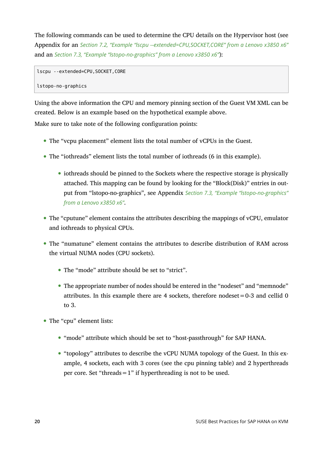The following commands can be used to determine the CPU details on the Hypervisor host (see Appendix for an *[Section 7.2, "Example "lscpu --extended=CPU,SOCKET,CORE"](#page-27-0) from a Lenovo x3850 x6"* and an *[Section 7.3, "Example "lstopo-no-graphics"](#page-30-0) from a Lenovo x3850 x6"*):

```
lscpu --extended=CPU,SOCKET,CORE
```
lstopo-no-graphics

Using the above information the CPU and memory pinning section of the Guest VM XML can be created. Below is an example based on the hypothetical example above.

Make sure to take note of the following configuration points:

- The "vcpu placement" element lists the total number of vCPUs in the Guest.
- The "iothreads" element lists the total number of iothreads (6 in this example).
	- iothreads should be pinned to the Sockets where the respective storage is physically attached. This mapping can be found by looking for the "Block(Disk)" entries in output from "lstopo-no-graphics", see Appendix *[Section 7.3, "Example "lstopo-no-graphics"](#page-30-0) from a [Lenovo](#page-30-0) x3850 x6"*.
- The "cputune" element contains the attributes describing the mappings of vCPU, emulator and iothreads to physical CPUs.
- The "numatune" element contains the attributes to describe distribution of RAM across the virtual NUMA nodes (CPU sockets).
	- The "mode" attribute should be set to "strict".
	- The appropriate number of nodes should be entered in the "nodeset" and "memnode" attributes. In this example there are 4 sockets, therefore nodeset =  $0-3$  and cellid 0 to 3.
- The "cpu" element lists:
	- "mode" attribute which should be set to "host-passthrough" for SAP HANA.
	- "topology" attributes to describe the vCPU NUMA topology of the Guest. In this example, 4 sockets, each with 3 cores (see the cpu pinning table) and 2 hyperthreads per core. Set "threads  $=1$ " if hyperthreading is not to be used.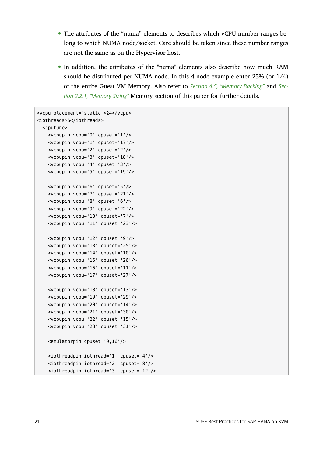- The attributes of the "numa" elements to describes which vCPU number ranges belong to which NUMA node/socket. Care should be taken since these number ranges are not the same as on the Hypervisor host.
- In addition, the attributes of the "numa" elements also describe how much RAM should be distributed per NUMA node. In this 4-node example enter 25% (or 1/4) of the entire Guest VM Memory. Also refer to *[Section 4.5, "Memory Backing"](#page-23-1)* and *[Sec](#page-5-1)[tion 2.2.1, "Memory Sizing"](#page-5-1)* Memory section of this paper for further details.

```
<vcpu placement='static'>24</vcpu>
<iothreads>6</iothreads>
   <cputune>
    <vcpupin vcpu='0' cpuset='1'/>
     <vcpupin vcpu='1' cpuset='17'/>
    <vcpupin vcpu='2' cpuset='2'/>
    <vcpupin vcpu='3' cpuset='18'/>
    <vcpupin vcpu='4' cpuset='3'/>
    <vcpupin vcpu='5' cpuset='19'/>
    <vcpupin vcpu='6' cpuset='5'/>
    <vcpupin vcpu='7' cpuset='21'/>
    <vcpupin vcpu='8' cpuset='6'/>
    <vcpupin vcpu='9' cpuset='22'/>
     <vcpupin vcpu='10' cpuset='7'/>
    <vcpupin vcpu='11' cpuset='23'/>
    <vcpupin vcpu='12' cpuset='9'/>
    <vcpupin vcpu='13' cpuset='25'/>
     <vcpupin vcpu='14' cpuset='10'/>
    <vcpupin vcpu='15' cpuset='26'/>
     <vcpupin vcpu='16' cpuset='11'/>
     <vcpupin vcpu='17' cpuset='27'/>
    <vcpupin vcpu='18' cpuset='13'/>
    <vcpupin vcpu='19' cpuset='29'/>
     <vcpupin vcpu='20' cpuset='14'/>
    <vcpupin vcpu='21' cpuset='30'/>
     <vcpupin vcpu='22' cpuset='15'/>
    <vcpupin vcpu='23' cpuset='31'/>
    <emulatorpin cpuset='0,16'/>
    <iothreadpin iothread='1' cpuset='4'/>
    <iothreadpin iothread='2' cpuset='8'/>
     <iothreadpin iothread='3' cpuset='12'/>
```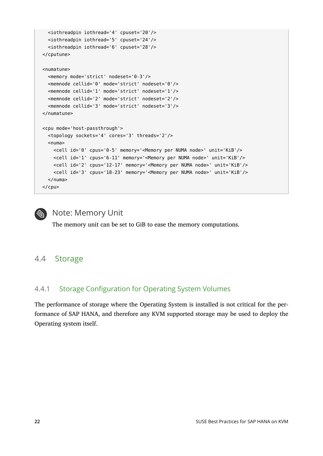```
 <iothreadpin iothread='4' cpuset='20'/>
   <iothreadpin iothread='5' cpuset='24'/>
   <iothreadpin iothread='6' cpuset='28'/>
 </cputune>
 <numatune>
   <memory mode='strict' nodeset='0-3'/>
   <memnode cellid='0' mode='strict' nodeset='0'/>
   <memnode cellid='1' mode='strict' nodeset='1'/>
   <memnode cellid='2' mode='strict' nodeset='2'/>
   <memnode cellid='3' mode='strict' nodeset='3'/>
 </numatune>
 <cpu mode='host-passthrough'>
   <topology sockets='4' cores='3' threads='2'/>
  <sub>numa</sub></sub>
     <cell id='0' cpus='0-5' memory='<Memory per NUMA node>' unit='KiB'/>
     <cell id='1' cpus='6-11' memory='<Memory per NUMA node>' unit='KiB'/>
     <cell id='2' cpus='12-17' memory='<Memory per NUMA node>' unit='KiB'/>
     <cell id='3' cpus='18-23' memory='<Memory per NUMA node>' unit='KiB'/>
   </numa>
</cpu>
```
# **S** Note: Memory Unit

The memory unit can be set to GiB to ease the memory computations.

## <span id="page-21-0"></span>4.4 Storage

### 4.4.1 Storage Configuration for Operating System Volumes

The performance of storage where the Operating System is installed is not critical for the performance of SAP HANA, and therefore any KVM supported storage may be used to deploy the Operating system itself.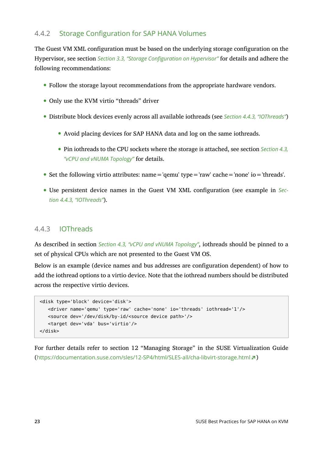### 4.4.2 Storage Configuration for SAP HANA Volumes

The Guest VM XML configuration must be based on the underlying storage configuration on the Hypervisor, see section *[Section 3.3, "Storage Configuration on Hypervisor"](#page-12-0)* for details and adhere the following recommendations:

- Follow the storage layout recommendations from the appropriate hardware vendors.
- Only use the KVM virtio "threads" driver
- Distribute block devices evenly across all available iothreads (see *Section 4.4.3, ["IOThreads"](#page-22-0)*)
	- Avoid placing devices for SAP HANA data and log on the same iothreads.
	- Pin iothreads to the CPU sockets where the storage is attached, see section *[Section 4.3,](#page-17-0) ["vCPU and vNUMA Topology"](#page-17-0)* for details.
- Set the following virtio attributes:  $name='qemu' type='raw' cache='none' io='threads'.$
- Use persistent device names in the Guest VM XML configuration (see example in *[Sec](#page-22-0)tion 4.4.3, ["IOThreads"](#page-22-0)*).

### <span id="page-22-0"></span>4.4.3 IOThreads

As described in section *[Section 4.3, "vCPU and vNUMA Topology"](#page-17-0)*, iothreads should be pinned to a set of physical CPUs which are not presented to the Guest VM OS.

Below is an example (device names and bus addresses are configuration dependent) of how to add the iothread options to a virtio device. Note that the iothread numbers should be distributed across the respective virtio devices.

```
 <disk type='block' device='disk'>
    <driver name='qemu' type='raw' cache='none' io='threads' iothread='1'/>
    <source dev='/dev/disk/by-id/<source device path>'/>
    <target dev='vda' bus='virtio'/>
 </disk>
```
For further details refer to section 12 "Managing Storage" in the SUSE Virtualization Guide (<https://documentation.suse.com/sles/12-SP4/html/SLES-all/cha-libvirt-storage.html> )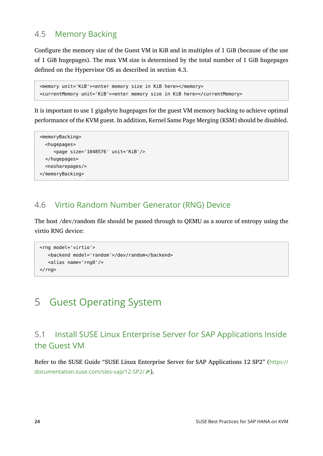# <span id="page-23-1"></span>4.5 Memory Backing

Configure the memory size of the Guest VM in KiB and in multiples of 1 GiB (because of the use of 1 GiB hugepages). The max VM size is determined by the total number of 1 GiB hugepages defined on the Hypervisor OS as described in section 4.3.

```
 <memory unit='KiB'><enter memory size in KiB here></memory>
 <currentMemory unit='KiB'><enter memory size in KiB here></currentMemory>
```
It is important to use 1 gigabyte hugepages for the guest VM memory backing to achieve optimal performance of the KVM guest. In addition, Kernel Same Page Merging (KSM) should be disabled.

```
 <memoryBacking>
   <hugepages>
      <page size='1048576' unit='KiB'/>
   </hugepages>
   <nosharepages/>
 </memoryBacking>
```
# <span id="page-23-2"></span>4.6 Virtio Random Number Generator (RNG) Device

The host /dev/random file should be passed through to QEMU as a source of entropy using the virtio RNG device:

```
 <rng model='virtio'>
    <backend model='random'>/dev/random</backend>
    <alias name='rng0'/>
</rng
```
# <span id="page-23-0"></span>5 Guest Operating System

# 5.1 Install SUSE Linux Enterprise Server for SAP Applications Inside the Guest VM

Refer to the SUSE Guide "SUSE Linux Enterprise Server for SAP Applications 12 SP2" ([https://](https://documentation.suse.com/sles-sap/12-SP2/) [documentation.suse.com/sles-sap/12-SP2/](https://documentation.suse.com/sles-sap/12-SP2/) ).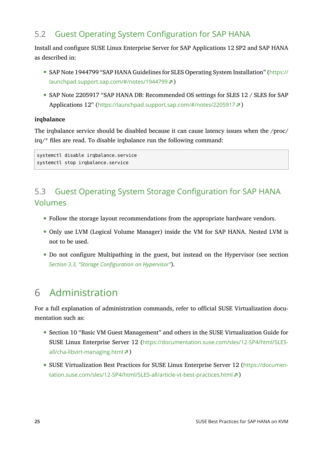# 5.2 Guest Operating System Configuration for SAP HANA

Install and configure SUSE Linux Enterprise Server for SAP Applications 12 SP2 and SAP HANA as described in:

- SAP Note 1944799 "SAP HANA Guidelines for SLES Operating System Installation" ([https://](https://launchpad.support.sap.com/#/notes/1944799) [launchpad.support.sap.com/#/notes/1944799](https://launchpad.support.sap.com/#/notes/1944799) ?)
- SAP Note 2205917 "SAP HANA DB: Recommended OS settings for SLES 12 / SLES for SAP Applications 12" (<https://launchpad.support.sap.com/#/notes/2205917> a)

#### **irqbalance**

The irqbalance service should be disabled because it can cause latency issues when the /proc/  $irq/*$  files are read. To disable irqbalance run the following command:

systemctl disable irqbalance.service systemctl stop irqbalance.service

# 5.3 Guest Operating System Storage Configuration for SAP HANA Volumes

- Follow the storage layout recommendations from the appropriate hardware vendors.
- Only use LVM (Logical Volume Manager) inside the VM for SAP HANA. Nested LVM is not to be used.
- Do not configure Multipathing in the guest, but instead on the Hypervisor (see section *[Section 3.3, "Storage Configuration on Hypervisor"](#page-12-0)*).

# <span id="page-24-0"></span>6 Administration

For a full explanation of administration commands, refer to official SUSE Virtualization documentation such as:

- Section 10 "Basic VM Guest Management" and others in the SUSE Virtualization Guide for SUSE Linux Enterprise Server 12 ([https://documentation.suse.com/sles/12-SP4/html/SLES](https://documentation.suse.com/sles/12-SP4/html/SLES-all/cha-libvirt-managing.html)[all/cha-libvirt-managing.html](https://documentation.suse.com/sles/12-SP4/html/SLES-all/cha-libvirt-managing.html) 2)
- SUSE Virtualization Best Practices for SUSE Linux Enterprise Server 12 ([https://documen](https://documentation.suse.com/sles/12-SP4/html/SLES-all/article-vt-best-practices.html)[tation.suse.com/sles/12-SP4/html/SLES-all/article-vt-best-practices.html](https://documentation.suse.com/sles/12-SP4/html/SLES-all/article-vt-best-practices.html) a)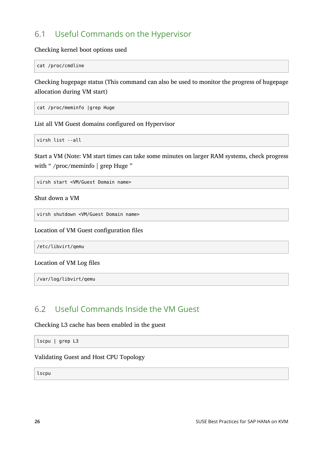# 6.1 Useful Commands on the Hypervisor

Checking kernel boot options used

cat /proc/cmdline

Checking hugepage status (This command can also be used to monitor the progress of hugepage allocation during VM start)

cat /proc/meminfo |grep Huge

List all VM Guest domains configured on Hypervisor

virsh list --all

Start a VM (Note: VM start times can take some minutes on larger RAM systems, check progress with " /proc/meminfo | grep Huge "

virsh start <VM/Guest Domain name>

Shut down a VM

virsh shutdown <VM/Guest Domain name>

Location of VM Guest configuration files

/etc/libvirt/qemu

#### Location of VM Log files

/var/log/libvirt/qemu

## 6.2 Useful Commands Inside the VM Guest

Checking L3 cache has been enabled in the guest

lscpu | grep L3

Validating Guest and Host CPU Topology

lscpu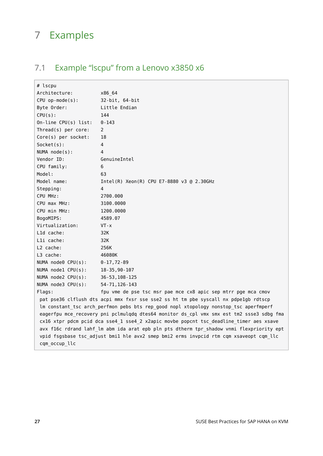# <span id="page-26-0"></span>7 Examples

# 7.1 Example "lscpu" from a Lenovo x3850 x6

| # lscpu                                                                                |                                                                                          |  |  |  |  |
|----------------------------------------------------------------------------------------|------------------------------------------------------------------------------------------|--|--|--|--|
| Architecture:                                                                          | x86 64                                                                                   |  |  |  |  |
| $CPU op-mode(s):$                                                                      | 32-bit, 64-bit                                                                           |  |  |  |  |
| Byte Order:                                                                            | Little Endian                                                                            |  |  |  |  |
| CPU(s):                                                                                | 144                                                                                      |  |  |  |  |
| $On$ -line CPU $(s)$ list:                                                             | $0 - 143$                                                                                |  |  |  |  |
| $Thread(s)$ per core:                                                                  | $\mathbf{2}^{\prime}$                                                                    |  |  |  |  |
| $Core(s)$ per socket:                                                                  | 18                                                                                       |  |  |  |  |
| $Socket(s)$ :                                                                          | 4                                                                                        |  |  |  |  |
| NUMA node(s):                                                                          | 4                                                                                        |  |  |  |  |
| Vendor ID:                                                                             | GenuineIntel                                                                             |  |  |  |  |
| CPU family:                                                                            | 6                                                                                        |  |  |  |  |
| Model:                                                                                 | 63                                                                                       |  |  |  |  |
| Model name:                                                                            | Intel(R) Xeon(R) CPU E7-8880 v3 @ 2.30GHz                                                |  |  |  |  |
| Stepping:                                                                              | 4                                                                                        |  |  |  |  |
| CPU MHz:                                                                               | 2700.000                                                                                 |  |  |  |  |
| CPU max MHz:                                                                           | 3100.0000                                                                                |  |  |  |  |
| CPU min MHz:                                                                           | 1200.0000                                                                                |  |  |  |  |
| BogoMIPS:                                                                              | 4589.07                                                                                  |  |  |  |  |
| Virtualization:                                                                        | $VT - x$                                                                                 |  |  |  |  |
| L1d cache:                                                                             | 32K                                                                                      |  |  |  |  |
| Lli cache:                                                                             | 32K                                                                                      |  |  |  |  |
| L2 cache:                                                                              | 256K                                                                                     |  |  |  |  |
| L3 cache:                                                                              | 46080K                                                                                   |  |  |  |  |
| NUMA node0 CPU(s):                                                                     | $0 - 17, 72 - 89$                                                                        |  |  |  |  |
| NUMA nodel CPU(s):                                                                     | 18-35,90-107                                                                             |  |  |  |  |
| NUMA node2 CPU(s):                                                                     | 36-53, 108-125                                                                           |  |  |  |  |
| NUMA node3 CPU(s):                                                                     | 54-71, 126-143                                                                           |  |  |  |  |
| Flags:                                                                                 | fpu vme de pse tsc msr pae mce cx8 apic sep mtrr pge mca cmov                            |  |  |  |  |
|                                                                                        | pat pse36 clflush dts acpi mmx fxsr sse sse2 ss ht tm pbe syscall nx pdpe1gb rdtscp      |  |  |  |  |
|                                                                                        | lm constant_tsc arch_perfmon pebs bts rep_good nopl xtopology nonstop_tsc aperfmperf     |  |  |  |  |
|                                                                                        | eagerfpu mce_recovery pni pclmulqdq dtes64 monitor ds_cpl vmx smx est tm2 ssse3 sdbg fma |  |  |  |  |
| cx16 xtpr pdcm pcid dca sse4_1 sse4_2 x2apic movbe popcnt tsc_deadline_timer aes xsave |                                                                                          |  |  |  |  |
|                                                                                        | avx f16c rdrand lahf_lm abm ida arat epb pln pts dtherm tpr_shadow vnmi flexpriority ept |  |  |  |  |
|                                                                                        | vpid fsgsbase tsc_adjust bmil hle avx2 smep bmi2 erms invpcid rtm cqm xsaveopt cqm_llc   |  |  |  |  |
| cqm occup llc                                                                          |                                                                                          |  |  |  |  |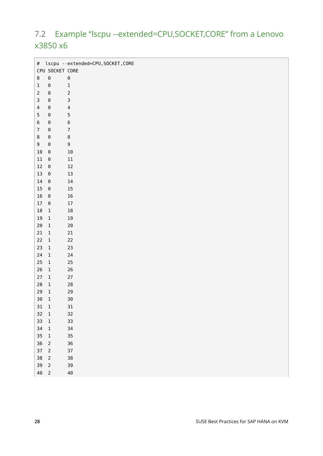# <span id="page-27-0"></span>7.2 Example "lscpu --extended=CPU,SOCKET,CORE" from a Lenovo x3850 x6

| # lscpu --extended=CPU, SOCKET, CORE |                       |                         |  |  |  |  |
|--------------------------------------|-----------------------|-------------------------|--|--|--|--|
|                                      | CPU SOCKET CORE       |                         |  |  |  |  |
| $\Theta$                             | $\Theta$              | $\pmb{\Theta}$          |  |  |  |  |
| $\mathbf{1}$                         | $\Theta$              | $\mathbf 1$             |  |  |  |  |
| $\mathbf 2$                          | $\Theta$              | $\sqrt{2}$              |  |  |  |  |
| 3                                    | $\Theta$              | 3                       |  |  |  |  |
| 4                                    | $\Theta$              | $\overline{\mathbf{4}}$ |  |  |  |  |
| 5                                    | $\Theta$              | 5                       |  |  |  |  |
| 6                                    | $\Theta$              | $\bf 6$                 |  |  |  |  |
| $\overline{7}$                       | $\Theta$              | $\boldsymbol{7}$        |  |  |  |  |
| 8                                    | $\Theta$              | $\bf 8$                 |  |  |  |  |
| 9                                    | $\Theta$              | 9                       |  |  |  |  |
| $10\,$                               | $\boldsymbol{\Theta}$ | 10                      |  |  |  |  |
| $11\,$                               | $\Theta$              | $11\,$                  |  |  |  |  |
| $12\,$                               | $\Theta$              | $12\,$                  |  |  |  |  |
| $13\,$                               | $\Theta$              | $13\,$                  |  |  |  |  |
| $14\,$                               | $\Theta$              | $14\,$                  |  |  |  |  |
| 15                                   | $\Theta$              | $15\,$                  |  |  |  |  |
| $16\,$                               | $\Theta$              | $16\,$                  |  |  |  |  |
| $17\,$                               | $\Theta$              | $17\,$                  |  |  |  |  |
| $18\,$                               | $\,1$                 | $18\,$                  |  |  |  |  |
| $19\,$                               | $\mathbf 1$           | $19\,$                  |  |  |  |  |
| $20\,$                               | $\,1\,$               | $2\theta$               |  |  |  |  |
| $21\,$                               | $\mathbf 1$           | $21\,$                  |  |  |  |  |
| 22                                   | $\mathbf 1$           | 22                      |  |  |  |  |
| 23                                   | $\,1\,$               | 23                      |  |  |  |  |
| 24                                   | $\,1\,$               | 24                      |  |  |  |  |
| 25                                   | $\,1\,$               | $25\,$                  |  |  |  |  |
| 26                                   | $\mathbf 1$           | $26\,$                  |  |  |  |  |
| 27                                   | $\mathbf 1$           | $27\,$                  |  |  |  |  |
| 28                                   | $\,1\,$               | ${\bf 28}$              |  |  |  |  |
| 29                                   | $\,1\,$               | 29                      |  |  |  |  |
| 30                                   | $\overline{1}$        | 30                      |  |  |  |  |
| $31\quad 1$                          |                       | $31\,$                  |  |  |  |  |
| $32 \quad 1$                         |                       | $32\,$                  |  |  |  |  |
| $33 \quad 1$                         |                       | 33                      |  |  |  |  |
| $34 \quad 1$                         |                       | 34                      |  |  |  |  |
| $35 \quad 1$                         |                       | $35\,$                  |  |  |  |  |
| 36 2                                 |                       | $36\,$                  |  |  |  |  |
| $37 \quad 2$                         |                       | $37\,$                  |  |  |  |  |
| 38 2                                 |                       | $38\,$                  |  |  |  |  |
| 39 2                                 |                       | 39                      |  |  |  |  |
| 40 2                                 |                       | $40\,$                  |  |  |  |  |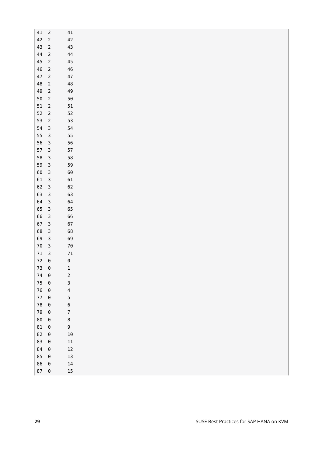| 41         | $\overline{c}$                    | 41                      |
|------------|-----------------------------------|-------------------------|
| 42         | $\sqrt{2}$                        | 42                      |
| 43         | $\sqrt{2}$                        | 43                      |
| $\bf 44$   | $\sqrt{2}$                        | 44                      |
| 45         | $\sqrt{2}$                        | $\bf 45$                |
| ${\bf 46}$ | $\sqrt{2}$                        | ${\bf 46}$              |
| 47         | $\mathsf{2}$                      | $47\,$                  |
| ${\bf 48}$ | $\sqrt{2}$                        | ${\bf 48}$              |
| 49         | $\sqrt{2}$                        | 49                      |
| $50\,$     | $\sqrt{2}$                        | $50\,$                  |
| 51         | $\sqrt{2}$                        | $51\,$                  |
| 52         | $\sqrt{2}$                        | 52                      |
| 53         | $\mathsf{2}$                      | 53                      |
| 54         | $\mathsf{3}$                      | 54                      |
| 55         | $\mathsf 3$                       | 55                      |
| 56         | $\overline{\mathbf{3}}$           | 56                      |
| 57         | $\overline{\mathbf{3}}$           | 57                      |
| 58         | $\mathsf 3$                       | 58                      |
| 59         | $\mathsf 3$                       | 59                      |
| $60\,$     | $\mathsf 3$                       | $60\,$                  |
| 61         | $\mathsf{3}$                      | 61                      |
| 62         | $\mathsf 3$                       | 62                      |
| 63         | $\overline{\mathbf{3}}$           | 63                      |
| 64         | $\mathsf{3}$                      | 64                      |
| 65         | $\overline{3}$                    | 65                      |
| 66         | $\overline{3}$                    | 66                      |
| 67         | $\mathsf 3$                       | 67                      |
| 68         | $\mathsf{3}$                      | 68                      |
| 69         | $\mathsf 3$                       | 69                      |
| $70\,$     | $\overline{\mathbf{3}}$           | $70\,$                  |
| $71\,$     | $\overline{\mathbf{3}}$           | $71\,$                  |
| $72\,$     | $\Theta$                          | $\boldsymbol{\Theta}$   |
| 73         | $\boldsymbol{\Theta}$             | $\mathbf 1$             |
| 74         | $\Theta$                          | $\overline{c}$          |
| 75         | $\Theta$                          | 3                       |
| $76\,$     | $\boldsymbol{\Theta}$             | $\overline{\mathbf{r}}$ |
| 770        |                                   | 5                       |
| ${\bf 78}$ | $\theta$                          | $\boldsymbol{6}$        |
| 79 0       |                                   | $\boldsymbol{7}$        |
| 80 0       |                                   | 8                       |
| $81$ 0     |                                   | 9                       |
| 82         | $\Theta$                          | $10\,$                  |
| 83         | $\Theta$                          | $11\,$                  |
| 84 0       |                                   | $12\,$                  |
| 85         | $\theta$                          | $13\,$                  |
| 86<br>87   | $\boldsymbol{\Theta}$<br>$\Theta$ | $14\,$<br>$15\,$        |
|            |                                   |                         |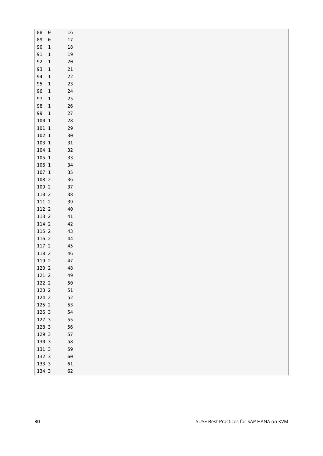| 88             | $\boldsymbol{\Theta}$ | 16         |
|----------------|-----------------------|------------|
| 89             | $\boldsymbol{\Theta}$ | $17\,$     |
| $90\,$         | $\mathbf 1$           | $18\,$     |
| 91             | $\mathbf 1$           | $19\,$     |
| 92             | $\mathbf 1$           | $20\,$     |
| 93             | $\mathbf 1$           | 21         |
| 94             | $\mathbf 1$           | 22         |
| 95             | $\mathbf 1$           | 23         |
| 96             | $\mathbf 1$           | 24         |
| 97             | $\mathbf 1$           | $25\,$     |
| 98             | $\,1\,$               | $26\,$     |
| 99             | $\mathbf 1$           | 27         |
| $100\,$ $1\,$  |                       | ${\bf 28}$ |
| $101\,$ $1$    |                       | 29         |
| $102\;$ $1$    |                       | 30         |
| $103\,$ $1$    |                       | 31         |
| $104\;\;1$     |                       | 32         |
| $105\,$ $1\,$  |                       | 33         |
| $106\text{ }1$ |                       | 34         |
| 107 1          |                       | 35         |
| 108 2          |                       | 36         |
| 109 2          |                       | $37\,$     |
|                |                       |            |
| $110\,$ 2      |                       | $38\,$     |
| $111\,$ $2$    |                       | 39         |
| 112 2          |                       | $40\,$     |
| 113 2          |                       | 41         |
| 114 2          |                       | 42         |
| 115 2          |                       | 43         |
| 116 2          |                       | 44         |
| $117\,$ 2      |                       | 45         |
| 118 2          |                       | 46         |
| 119 2          |                       | 47         |
| 120 2          |                       | 48         |
| 121 2          |                       | 49         |
| 122 2          |                       | $50\,$     |
| 123 2          |                       | $51\,$     |
| 124 2          |                       | 52         |
| 125 2          |                       | 53         |
| 126 3          |                       | 54         |
| 127 3          |                       | 55         |
| 128 3          |                       | 56         |
| 129 3          |                       | 57         |
| 130 3          |                       | 58         |
| 131 3          |                       | 59         |
| 132 3          |                       | $60\,$     |
| 133 3          |                       | 61         |
| 134 3          |                       | 62         |
|                |                       |            |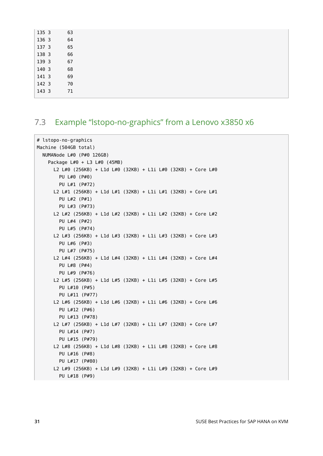| 135 3 | 63 |  |  |  |
|-------|----|--|--|--|
| 136 3 | 64 |  |  |  |
| 137 3 | 65 |  |  |  |
| 138 3 | 66 |  |  |  |
| 139 3 | 67 |  |  |  |
| 140 3 | 68 |  |  |  |
| 141 3 | 69 |  |  |  |
| 142 3 | 70 |  |  |  |
| 143 3 | 71 |  |  |  |
|       |    |  |  |  |

### <span id="page-30-0"></span>7.3 Example "lstopo-no-graphics" from a Lenovo x3850 x6

```
# lstopo-no-graphics
Machine (504GB total)
   NUMANode L#0 (P#0 126GB)
     Package L#0 + L3 L#0 (45MB)
       L2 L#0 (256KB) + L1d L#0 (32KB) + L1i L#0 (32KB) + Core L#0
         PU L#0 (P#0)
         PU L#1 (P#72)
       L2 L#1 (256KB) + L1d L#1 (32KB) + L1i L#1 (32KB) + Core L#1
         PU L#2 (P#1)
         PU L#3 (P#73)
       L2 L#2 (256KB) + L1d L#2 (32KB) + L1i L#2 (32KB) + Core L#2
         PU L#4 (P#2)
         PU L#5 (P#74)
       L2 L#3 (256KB) + L1d L#3 (32KB) + L1i L#3 (32KB) + Core L#3
         PU L#6 (P#3)
         PU L#7 (P#75)
       L2 L#4 (256KB) + L1d L#4 (32KB) + L1i L#4 (32KB) + Core L#4
         PU L#8 (P#4)
         PU L#9 (P#76)
       L2 L#5 (256KB) + L1d L#5 (32KB) + L1i L#5 (32KB) + Core L#5
         PU L#10 (P#5)
         PU L#11 (P#77)
       L2 L#6 (256KB) + L1d L#6 (32KB) + L1i L#6 (32KB) + Core L#6
         PU L#12 (P#6)
         PU L#13 (P#78)
       L2 L#7 (256KB) + L1d L#7 (32KB) + L1i L#7 (32KB) + Core L#7
         PU L#14 (P#7)
         PU L#15 (P#79)
       L2 L#8 (256KB) + L1d L#8 (32KB) + L1i L#8 (32KB) + Core L#8
         PU L#16 (P#8)
         PU L#17 (P#80)
       L2 L#9 (256KB) + L1d L#9 (32KB) + L1i L#9 (32KB) + Core L#9
         PU L#18 (P#9)
```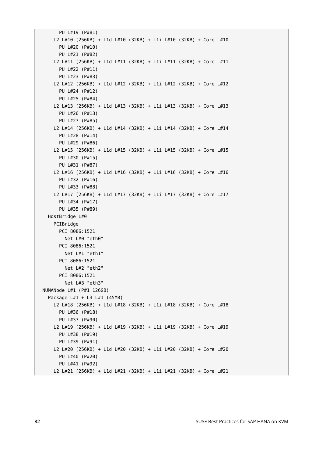```
 PU L#19 (P#81)
     L2 L#10 (256KB) + L1d L#10 (32KB) + L1i L#10 (32KB) + Core L#10
       PU L#20 (P#10)
       PU L#21 (P#82)
     L2 L#11 (256KB) + L1d L#11 (32KB) + L1i L#11 (32KB) + Core L#11
       PU L#22 (P#11)
       PU L#23 (P#83)
     L2 L#12 (256KB) + L1d L#12 (32KB) + L1i L#12 (32KB) + Core L#12
       PU L#24 (P#12)
       PU L#25 (P#84)
     L2 L#13 (256KB) + L1d L#13 (32KB) + L1i L#13 (32KB) + Core L#13
       PU L#26 (P#13)
       PU L#27 (P#85)
     L2 L#14 (256KB) + L1d L#14 (32KB) + L1i L#14 (32KB) + Core L#14
       PU L#28 (P#14)
       PU L#29 (P#86)
     L2 L#15 (256KB) + L1d L#15 (32KB) + L1i L#15 (32KB) + Core L#15
       PU L#30 (P#15)
       PU L#31 (P#87)
     L2 L#16 (256KB) + L1d L#16 (32KB) + L1i L#16 (32KB) + Core L#16
       PU L#32 (P#16)
       PU L#33 (P#88)
     L2 L#17 (256KB) + L1d L#17 (32KB) + L1i L#17 (32KB) + Core L#17
       PU L#34 (P#17)
       PU L#35 (P#89)
   HostBridge L#0
     PCIBridge
       PCI 8086:1521
         Net L#0 "eth0"
       PCI 8086:1521
         Net L#1 "eth1"
       PCI 8086:1521
         Net L#2 "eth2"
       PCI 8086:1521
         Net L#3 "eth3"
 NUMANode L#1 (P#1 126GB)
   Package L#1 + L3 L#1 (45MB)
     L2 L#18 (256KB) + L1d L#18 (32KB) + L1i L#18 (32KB) + Core L#18
       PU L#36 (P#18)
       PU L#37 (P#90)
     L2 L#19 (256KB) + L1d L#19 (32KB) + L1i L#19 (32KB) + Core L#19
       PU L#38 (P#19)
       PU L#39 (P#91)
     L2 L#20 (256KB) + L1d L#20 (32KB) + L1i L#20 (32KB) + Core L#20
       PU L#40 (P#20)
       PU L#41 (P#92)
    L2 L#21 (256KB) + L1d L#21 (32KB) + L1i L#21 (32KB) + Core L#21
```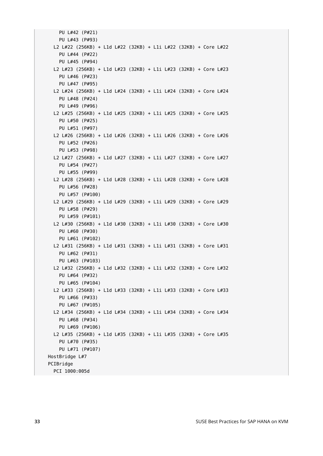```
 PU L#42 (P#21)
     PU L#43 (P#93)
   L2 L#22 (256KB) + L1d L#22 (32KB) + L1i L#22 (32KB) + Core L#22
     PU L#44 (P#22)
     PU L#45 (P#94)
   L2 L#23 (256KB) + L1d L#23 (32KB) + L1i L#23 (32KB) + Core L#23
     PU L#46 (P#23)
     PU L#47 (P#95)
   L2 L#24 (256KB) + L1d L#24 (32KB) + L1i L#24 (32KB) + Core L#24
     PU L#48 (P#24)
     PU L#49 (P#96)
   L2 L#25 (256KB) + L1d L#25 (32KB) + L1i L#25 (32KB) + Core L#25
     PU L#50 (P#25)
     PU L#51 (P#97)
   L2 L#26 (256KB) + L1d L#26 (32KB) + L1i L#26 (32KB) + Core L#26
     PU L#52 (P#26)
     PU L#53 (P#98)
   L2 L#27 (256KB) + L1d L#27 (32KB) + L1i L#27 (32KB) + Core L#27
     PU L#54 (P#27)
     PU L#55 (P#99)
   L2 L#28 (256KB) + L1d L#28 (32KB) + L1i L#28 (32KB) + Core L#28
     PU L#56 (P#28)
     PU L#57 (P#100)
   L2 L#29 (256KB) + L1d L#29 (32KB) + L1i L#29 (32KB) + Core L#29
     PU L#58 (P#29)
     PU L#59 (P#101)
   L2 L#30 (256KB) + L1d L#30 (32KB) + L1i L#30 (32KB) + Core L#30
     PU L#60 (P#30)
     PU L#61 (P#102)
   L2 L#31 (256KB) + L1d L#31 (32KB) + L1i L#31 (32KB) + Core L#31
     PU L#62 (P#31)
     PU L#63 (P#103)
  L2 L#32 (256KB) + L1d L#32 (32KB) + L1i L#32 (32KB) + Core L#32
     PU L#64 (P#32)
     PU L#65 (P#104)
   L2 L#33 (256KB) + L1d L#33 (32KB) + L1i L#33 (32KB) + Core L#33
     PU L#66 (P#33)
     PU L#67 (P#105)
  L2 L#34 (256KB) + L1d L#34 (32KB) + L1i L#34 (32KB) + Core L#34
     PU L#68 (P#34)
     PU L#69 (P#106)
  L2 L#35 (256KB) + L1d L#35 (32KB) + L1i L#35 (32KB) + Core L#35
     PU L#70 (P#35)
     PU L#71 (P#107)
 HostBridge L#7
 PCIBridge
  PCI 1000:005d
```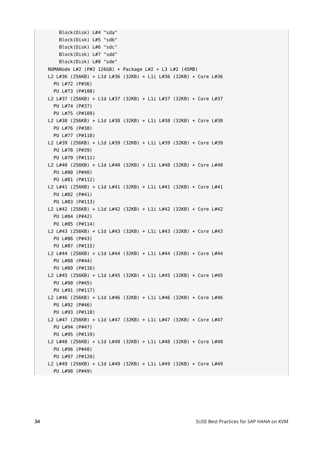```
 Block(Disk) L#4 "sda"
     Block(Disk) L#5 "sdb"
     Block(Disk) L#6 "sdc"
     Block(Disk) L#7 "sdd"
     Block(Disk) L#8 "sde"
 NUMANode L#2 (P#2 126GB) + Package L#2 + L3 L#2 (45MB)
 L2 L#36 (256KB) + L1d L#36 (32KB) + L1i L#36 (32KB) + Core L#36
  PU L#72 (P#36)
   PU L#73 (P#108)
 L2 L#37 (256KB) + L1d L#37 (32KB) + L1i L#37 (32KB) + Core L#37
   PU L#74 (P#37)
  PU L#75 (P#109)
 L2 L#38 (256KB) + L1d L#38 (32KB) + L1i L#38 (32KB) + Core L#38
  PU L#76 (P#38)
  PU L#77 (P#110)
 L2 L#39 (256KB) + L1d L#39 (32KB) + L1i L#39 (32KB) + Core L#39
  PU L#78 (P#39)
  PU L#79 (P#111)
 L2 L#40 (256KB) + L1d L#40 (32KB) + L1i L#40 (32KB) + Core L#40
  PU L#80 (P#40)
  PU L#81 (P#112)
 L2 L#41 (256KB) + L1d L#41 (32KB) + L1i L#41 (32KB) + Core L#41
   PU L#82 (P#41)
  PU L#83 (P#113)
 L2 L#42 (256KB) + L1d L#42 (32KB) + L1i L#42 (32KB) + Core L#42
  PU L#84 (P#42)
  PU L#85 (P#114)
 L2 L#43 (256KB) + L1d L#43 (32KB) + L1i L#43 (32KB) + Core L#43
  PU L#86 (P#43)
  PU L#87 (P#115)
 L2 L#44 (256KB) + L1d L#44 (32KB) + L1i L#44 (32KB) + Core L#44
  PU L#88 (P#44)
  PU L#89 (P#116)
 L2 L#45 (256KB) + L1d L#45 (32KB) + L1i L#45 (32KB) + Core L#45
   PU L#90 (P#45)
  PU L#91 (P#117)
 L2 L#46 (256KB) + L1d L#46 (32KB) + L1i L#46 (32KB) + Core L#46
  PU L#92 (P#46)
  PU L#93 (P#118)
 L2 L#47 (256KB) + L1d L#47 (32KB) + L1i L#47 (32KB) + Core L#47
  PU L#94 (P#47)
  PU L#95 (P#119)
 L2 L#48 (256KB) + L1d L#48 (32KB) + L1i L#48 (32KB) + Core L#48
   PU L#96 (P#48)
  PU L#97 (P#120)
 L2 L#49 (256KB) + L1d L#49 (32KB) + L1i L#49 (32KB) + Core L#49
  PU L#98 (P#49)
```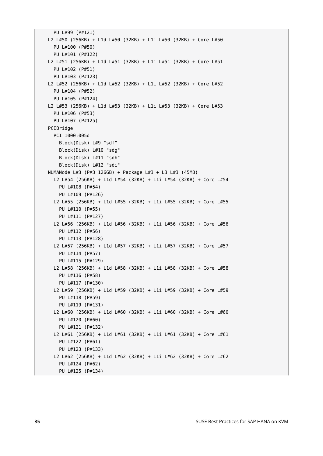```
 PU L#99 (P#121)
 L2 L#50 (256KB) + L1d L#50 (32KB) + L1i L#50 (32KB) + Core L#50
  PU L#100 (P#50)
  PU L#101 (P#122)
 L2 L#51 (256KB) + L1d L#51 (32KB) + L1i L#51 (32KB) + Core L#51
  PU L#102 (P#51)
  PU L#103 (P#123)
 L2 L#52 (256KB) + L1d L#52 (32KB) + L1i L#52 (32KB) + Core L#52
   PU L#104 (P#52)
  PU L#105 (P#124)
 L2 L#53 (256KB) + L1d L#53 (32KB) + L1i L#53 (32KB) + Core L#53
   PU L#106 (P#53)
  PU L#107 (P#125)
 PCIBridge
  PCI 1000:005d
     Block(Disk) L#9 "sdf"
     Block(Disk) L#10 "sdg"
     Block(Disk) L#11 "sdh"
     Block(Disk) L#12 "sdi"
 NUMANode L#3 (P#3 126GB) + Package L#3 + L3 L#3 (45MB)
  L2 L#54 (256KB) + L1d L#54 (32KB) + L1i L#54 (32KB) + Core L#54
     PU L#108 (P#54)
     PU L#109 (P#126)
  L2 L#55 (256KB) + L1d L#55 (32KB) + L1i L#55 (32KB) + Core L#55
     PU L#110 (P#55)
     PU L#111 (P#127)
   L2 L#56 (256KB) + L1d L#56 (32KB) + L1i L#56 (32KB) + Core L#56
     PU L#112 (P#56)
     PU L#113 (P#128)
   L2 L#57 (256KB) + L1d L#57 (32KB) + L1i L#57 (32KB) + Core L#57
     PU L#114 (P#57)
     PU L#115 (P#129)
  L2 L#58 (256KB) + L1d L#58 (32KB) + L1i L#58 (32KB) + Core L#58
     PU L#116 (P#58)
     PU L#117 (P#130)
   L2 L#59 (256KB) + L1d L#59 (32KB) + L1i L#59 (32KB) + Core L#59
     PU L#118 (P#59)
     PU L#119 (P#131)
  L2 L#60 (256KB) + L1d L#60 (32KB) + L1i L#60 (32KB) + Core L#60
     PU L#120 (P#60)
     PU L#121 (P#132)
  L2 L#61 (256KB) + L1d L#61 (32KB) + L1i L#61 (32KB) + Core L#61
     PU L#122 (P#61)
     PU L#123 (P#133)
   L2 L#62 (256KB) + L1d L#62 (32KB) + L1i L#62 (32KB) + Core L#62
     PU L#124 (P#62)
    PU L#125 (P#134)
```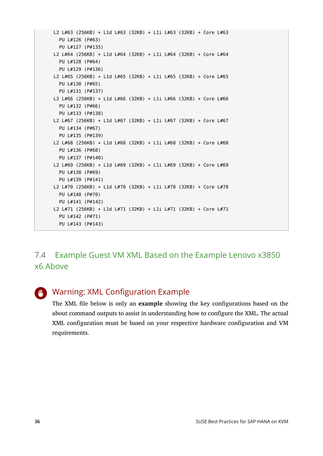```
 L2 L#63 (256KB) + L1d L#63 (32KB) + L1i L#63 (32KB) + Core L#63
   PU L#126 (P#63)
   PU L#127 (P#135)
 L2 L#64 (256KB) + L1d L#64 (32KB) + L1i L#64 (32KB) + Core L#64
   PU L#128 (P#64)
   PU L#129 (P#136)
 L2 L#65 (256KB) + L1d L#65 (32KB) + L1i L#65 (32KB) + Core L#65
   PU L#130 (P#65)
   PU L#131 (P#137)
 L2 L#66 (256KB) + L1d L#66 (32KB) + L1i L#66 (32KB) + Core L#66
   PU L#132 (P#66)
   PU L#133 (P#138)
 L2 L#67 (256KB) + L1d L#67 (32KB) + L1i L#67 (32KB) + Core L#67
   PU L#134 (P#67)
   PU L#135 (P#139)
 L2 L#68 (256KB) + L1d L#68 (32KB) + L1i L#68 (32KB) + Core L#68
   PU L#136 (P#68)
   PU L#137 (P#140)
 L2 L#69 (256KB) + L1d L#69 (32KB) + L1i L#69 (32KB) + Core L#69
   PU L#138 (P#69)
   PU L#139 (P#141)
 L2 L#70 (256KB) + L1d L#70 (32KB) + L1i L#70 (32KB) + Core L#70
   PU L#140 (P#70)
   PU L#141 (P#142)
 L2 L#71 (256KB) + L1d L#71 (32KB) + L1i L#71 (32KB) + Core L#71
   PU L#142 (P#71)
   PU L#143 (P#143)
```
# 7.4 Example Guest VM XML Based on the Example Lenovo x3850 x6 Above

## Warning: XML Configuration Example

The XML file below is only an **example** showing the key configurations based on the about command outputs to assist in understanding how to configure the XML. The actual XML configuration must be based on your respective hardware configuration and VM requirements.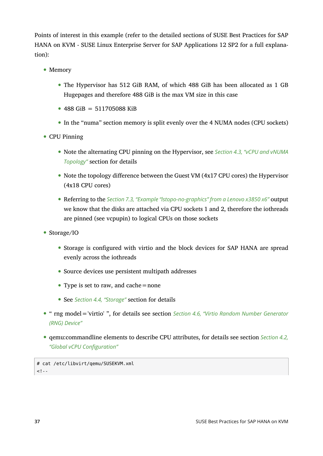Points of interest in this example (refer to the detailed sections of SUSE Best Practices for SAP HANA on KVM - SUSE Linux Enterprise Server for SAP Applications 12 SP2 for a full explanation):

- Memory
	- The Hypervisor has 512 GiB RAM, of which 488 GiB has been allocated as 1 GB Hugepages and therefore 488 GiB is the max VM size in this case
	- $\bullet$  488 GiB = 511705088 KiB
	- In the "numa" section memory is split evenly over the 4 NUMA nodes (CPU sockets)
- CPU Pinning
	- Note the alternating CPU pinning on the Hypervisor, see *[Section 4.3, "vCPU and vNUMA](#page-17-0) [Topology"](#page-17-0)* section for details
	- Note the topology difference between the Guest VM (4x17 CPU cores) the Hypervisor (4x18 CPU cores)
	- Referring to the *[Section 7.3, "Example "lstopo-no-graphics"](#page-30-0) from a Lenovo x3850 x6"* output we know that the disks are attached via CPU sockets 1 and 2, therefore the iothreads are pinned (see vcpupin) to logical CPUs on those sockets
- Storage/IO
	- Storage is configured with virtio and the block devices for SAP HANA are spread evenly across the iothreads
	- Source devices use persistent multipath addresses
	- Type is set to raw, and cache = none
	- See *[Section 4.4, "Storage"](#page-21-0)* section for details
- " rng model='virtio' ", for details see section *[Section 4.6, "Virtio Random Number Generator](#page-23-2) [\(RNG\) Device"](#page-23-2)*
- qemu:commandline elements to describe CPU attributes, for details see section *[Section 4.2,](#page-16-1) ["Global vCPU Configuration"](#page-16-1)*

# cat /etc/libvirt/qemu/SUSEKVM.xml  $$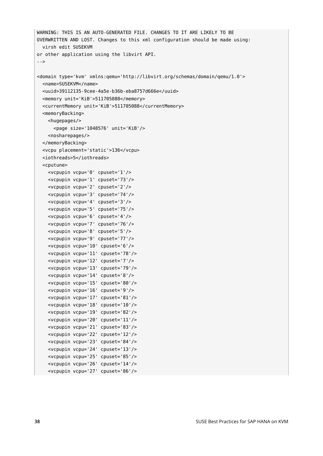```
WARNING: THIS IS AN AUTO-GENERATED FILE. CHANGES TO IT ARE LIKELY TO BE
OVERWRITTEN AND LOST. Changes to this xml configuration should be made using:
  virsh edit SUSEKVM
or other application using the libvirt API.
-->
<domain type='kvm' xmlns:qemu='http://libvirt.org/schemas/domain/qemu/1.0'>
  <name>SUSEKVM</name>
   <uuid>39112135-9cee-4a5e-b36b-eba8757d666e</uuid>
  <memory unit='KiB'>511705088</memory>
  <currentMemory unit='KiB'>511705088</currentMemory>
  <memoryBacking>
    <hugepages/>
       <page size='1048576' unit='KiB'/>
     <nosharepages/>
  </memoryBacking>
  <vcpu placement='static'>136</vcpu>
  <iothreads>5</iothreads>
  <cputune>
     <vcpupin vcpu='0' cpuset='1'/>
     <vcpupin vcpu='1' cpuset='73'/>
    <vcpupin vcpu='2' cpuset='2'/>
    <vcpupin vcpu='3' cpuset='74'/>
    <vcpupin vcpu='4' cpuset='3'/>
    <vcpupin vcpu='5' cpuset='75'/>
    <vcpupin vcpu='6' cpuset='4'/>
    <vcpupin vcpu='7' cpuset='76'/>
     <vcpupin vcpu='8' cpuset='5'/>
    <vcpupin vcpu='9' cpuset='77'/>
     <vcpupin vcpu='10' cpuset='6'/>
    <vcpupin vcpu='11' cpuset='78'/>
    <vcpupin vcpu='12' cpuset='7'/>
    <vcpupin vcpu='13' cpuset='79'/>
    <vcpupin vcpu='14' cpuset='8'/>
     <vcpupin vcpu='15' cpuset='80'/>
    <vcpupin vcpu='16' cpuset='9'/>
     <vcpupin vcpu='17' cpuset='81'/>
    <vcpupin vcpu='18' cpuset='10'/>
    <vcpupin vcpu='19' cpuset='82'/>
    <vcpupin vcpu='20' cpuset='11'/>
    <vcpupin vcpu='21' cpuset='83'/>
    <vcpupin vcpu='22' cpuset='12'/>
    <vcpupin vcpu='23' cpuset='84'/>
     <vcpupin vcpu='24' cpuset='13'/>
    <vcpupin vcpu='25' cpuset='85'/>
     <vcpupin vcpu='26' cpuset='14'/>
```
<vcpupin vcpu='27' cpuset='86'/>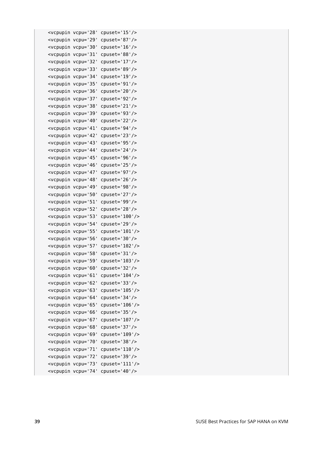```
 <vcpupin vcpu='28' cpuset='15'/>
 <vcpupin vcpu='29' cpuset='87'/>
 <vcpupin vcpu='30' cpuset='16'/>
 <vcpupin vcpu='31' cpuset='88'/>
 <vcpupin vcpu='32' cpuset='17'/>
 <vcpupin vcpu='33' cpuset='89'/>
 <vcpupin vcpu='34' cpuset='19'/>
 <vcpupin vcpu='35' cpuset='91'/>
 <vcpupin vcpu='36' cpuset='20'/>
 <vcpupin vcpu='37' cpuset='92'/>
 <vcpupin vcpu='38' cpuset='21'/>
 <vcpupin vcpu='39' cpuset='93'/>
 <vcpupin vcpu='40' cpuset='22'/>
 <vcpupin vcpu='41' cpuset='94'/>
 <vcpupin vcpu='42' cpuset='23'/>
 <vcpupin vcpu='43' cpuset='95'/>
 <vcpupin vcpu='44' cpuset='24'/>
 <vcpupin vcpu='45' cpuset='96'/>
 <vcpupin vcpu='46' cpuset='25'/>
 <vcpupin vcpu='47' cpuset='97'/>
 <vcpupin vcpu='48' cpuset='26'/>
 <vcpupin vcpu='49' cpuset='98'/>
 <vcpupin vcpu='50' cpuset='27'/>
 <vcpupin vcpu='51' cpuset='99'/>
 <vcpupin vcpu='52' cpuset='28'/>
 <vcpupin vcpu='53' cpuset='100'/>
 <vcpupin vcpu='54' cpuset='29'/>
 <vcpupin vcpu='55' cpuset='101'/>
 <vcpupin vcpu='56' cpuset='30'/>
 <vcpupin vcpu='57' cpuset='102'/>
 <vcpupin vcpu='58' cpuset='31'/>
 <vcpupin vcpu='59' cpuset='103'/>
 <vcpupin vcpu='60' cpuset='32'/>
 <vcpupin vcpu='61' cpuset='104'/>
 <vcpupin vcpu='62' cpuset='33'/>
 <vcpupin vcpu='63' cpuset='105'/>
 <vcpupin vcpu='64' cpuset='34'/>
 <vcpupin vcpu='65' cpuset='106'/>
 <vcpupin vcpu='66' cpuset='35'/>
 <vcpupin vcpu='67' cpuset='107'/>
 <vcpupin vcpu='68' cpuset='37'/>
 <vcpupin vcpu='69' cpuset='109'/>
 <vcpupin vcpu='70' cpuset='38'/>
 <vcpupin vcpu='71' cpuset='110'/>
 <vcpupin vcpu='72' cpuset='39'/>
 <vcpupin vcpu='73' cpuset='111'/>
 <vcpupin vcpu='74' cpuset='40'/>
```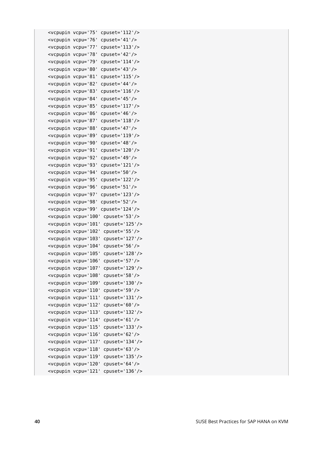```
 <vcpupin vcpu='75' cpuset='112'/>
 <vcpupin vcpu='76' cpuset='41'/>
 <vcpupin vcpu='77' cpuset='113'/>
 <vcpupin vcpu='78' cpuset='42'/>
 <vcpupin vcpu='79' cpuset='114'/>
 <vcpupin vcpu='80' cpuset='43'/>
 <vcpupin vcpu='81' cpuset='115'/>
 <vcpupin vcpu='82' cpuset='44'/>
 <vcpupin vcpu='83' cpuset='116'/>
 <vcpupin vcpu='84' cpuset='45'/>
 <vcpupin vcpu='85' cpuset='117'/>
 <vcpupin vcpu='86' cpuset='46'/>
 <vcpupin vcpu='87' cpuset='118'/>
 <vcpupin vcpu='88' cpuset='47'/>
 <vcpupin vcpu='89' cpuset='119'/>
 <vcpupin vcpu='90' cpuset='48'/>
 <vcpupin vcpu='91' cpuset='120'/>
 <vcpupin vcpu='92' cpuset='49'/>
 <vcpupin vcpu='93' cpuset='121'/>
 <vcpupin vcpu='94' cpuset='50'/>
 <vcpupin vcpu='95' cpuset='122'/>
 <vcpupin vcpu='96' cpuset='51'/>
 <vcpupin vcpu='97' cpuset='123'/>
 <vcpupin vcpu='98' cpuset='52'/>
 <vcpupin vcpu='99' cpuset='124'/>
 <vcpupin vcpu='100' cpuset='53'/>
 <vcpupin vcpu='101' cpuset='125'/>
 <vcpupin vcpu='102' cpuset='55'/>
 <vcpupin vcpu='103' cpuset='127'/>
 <vcpupin vcpu='104' cpuset='56'/>
 <vcpupin vcpu='105' cpuset='128'/>
 <vcpupin vcpu='106' cpuset='57'/>
 <vcpupin vcpu='107' cpuset='129'/>
 <vcpupin vcpu='108' cpuset='58'/>
 <vcpupin vcpu='109' cpuset='130'/>
 <vcpupin vcpu='110' cpuset='59'/>
 <vcpupin vcpu='111' cpuset='131'/>
 <vcpupin vcpu='112' cpuset='60'/>
 <vcpupin vcpu='113' cpuset='132'/>
 <vcpupin vcpu='114' cpuset='61'/>
 <vcpupin vcpu='115' cpuset='133'/>
 <vcpupin vcpu='116' cpuset='62'/>
 <vcpupin vcpu='117' cpuset='134'/>
 <vcpupin vcpu='118' cpuset='63'/>
 <vcpupin vcpu='119' cpuset='135'/>
 <vcpupin vcpu='120' cpuset='64'/>
 <vcpupin vcpu='121' cpuset='136'/>
```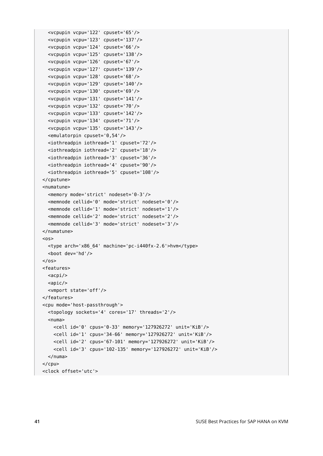```
 <vcpupin vcpu='123' cpuset='137'/>
   <vcpupin vcpu='124' cpuset='66'/>
   <vcpupin vcpu='125' cpuset='138'/>
   <vcpupin vcpu='126' cpuset='67'/>
   <vcpupin vcpu='127' cpuset='139'/>
   <vcpupin vcpu='128' cpuset='68'/>
   <vcpupin vcpu='129' cpuset='140'/>
   <vcpupin vcpu='130' cpuset='69'/>
   <vcpupin vcpu='131' cpuset='141'/>
   <vcpupin vcpu='132' cpuset='70'/>
   <vcpupin vcpu='133' cpuset='142'/>
   <vcpupin vcpu='134' cpuset='71'/>
   <vcpupin vcpu='135' cpuset='143'/>
   <emulatorpin cpuset='0,54'/>
   <iothreadpin iothread='1' cpuset='72'/>
   <iothreadpin iothread='2' cpuset='18'/>
   <iothreadpin iothread='3' cpuset='36'/>
   <iothreadpin iothread='4' cpuset='90'/>
   <iothreadpin iothread='5' cpuset='108'/>
 </cputune>
 <numatune>
   <memory mode='strict' nodeset='0-3'/>
   <memnode cellid='0' mode='strict' nodeset='0'/>
   <memnode cellid='1' mode='strict' nodeset='1'/>
   <memnode cellid='2' mode='strict' nodeset='2'/>
   <memnode cellid='3' mode='strict' nodeset='3'/>
 </numatune>
\langle <type arch='x86_64' machine='pc-i440fx-2.6'>hvm</type>
   <boot dev='hd'/>
\langle/05\rangle <features>
  <sub>acpi</sub></sub>
  <sub>apic/></sub></sub>
   <vmport state='off'/>
 </features>
 <cpu mode='host-passthrough'>
   <topology sockets='4' cores='17' threads='2'/>
  <numa> <cell id='0' cpus='0-33' memory='127926272' unit='KiB'/>
     <cell id='1' cpus='34-66' memory='127926272' unit='KiB'/>
     <cell id='2' cpus='67-101' memory='127926272' unit='KiB'/>
     <cell id='3' cpus='102-135' memory='127926272' unit='KiB'/>
   </numa>
</<pu>
```
<vcpupin vcpu='122' cpuset='65'/>

<clock offset='utc'>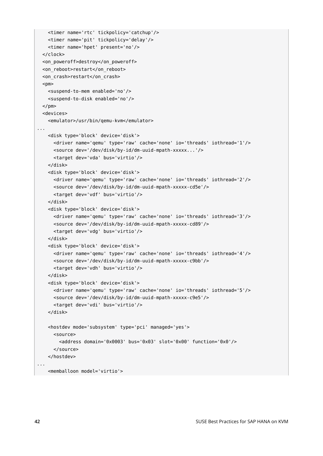```
 <timer name='rtc' tickpolicy='catchup'/>
    <timer name='pit' tickpolicy='delay'/>
    <timer name='hpet' present='no'/>
  </clock>
  <on_poweroff>destroy</on_poweroff>
 <on reboot>restart</on reboot>
  <on_crash>restart</on_crash>
 <pm> <suspend-to-mem enabled='no'/>
    <suspend-to-disk enabled='no'/>
 </pm> <devices>
    <emulator>/usr/bin/qemu-kvm</emulator>
...
    <disk type='block' device='disk'>
      <driver name='qemu' type='raw' cache='none' io='threads' iothread='1'/>
      <source dev='/dev/disk/by-id/dm-uuid-mpath-xxxxx...'/>
      <target dev='vda' bus='virtio'/>
    </disk>
    <disk type='block' device='disk'>
      <driver name='qemu' type='raw' cache='none' io='threads' iothread='2'/>
      <source dev='/dev/disk/by-id/dm-uuid-mpath-xxxxx-cd5e'/>
      <target dev='vdf' bus='virtio'/>
    </disk>
    <disk type='block' device='disk'>
      <driver name='qemu' type='raw' cache='none' io='threads' iothread='3'/>
      <source dev='/dev/disk/by-id/dm-uuid-mpath-xxxxx-cd89'/>
      <target dev='vdg' bus='virtio'/>
    </disk>
    <disk type='block' device='disk'>
      <driver name='qemu' type='raw' cache='none' io='threads' iothread='4'/>
      <source dev='/dev/disk/by-id/dm-uuid-mpath-xxxxx-c9bb'/>
      <target dev='vdh' bus='virtio'/>
    </disk>
    <disk type='block' device='disk'>
      <driver name='qemu' type='raw' cache='none' io='threads' iothread='5'/>
      <source dev='/dev/disk/by-id/dm-uuid-mpath-xxxxx-c9e5'/>
      <target dev='vdi' bus='virtio'/>
    </disk>
    <hostdev mode='subsystem' type='pci' managed='yes'>
      <source>
         <address domain='0x0003' bus='0x03' slot='0x00' function='0x0'/>
       </source>
    </hostdev>
...
    <memballoon model='virtio'>
```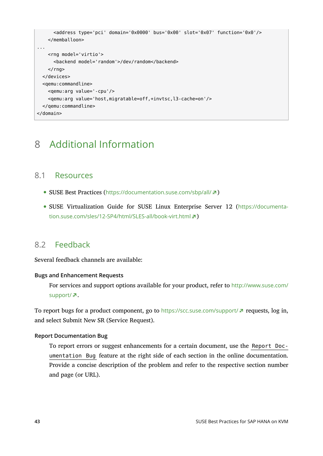```
 <address type='pci' domain='0x0000' bus='0x00' slot='0x07' function='0x0'/>
    </memballoon>
...
    <rng model='virtio'>
       <backend model='random'>/dev/random</backend>
   </rng>
  </devices>
  <qemu:commandline>
     <qemu:arg value='-cpu'/>
     <qemu:arg value='host,migratable=off,+invtsc,l3-cache=on'/>
  </qemu:commandline>
</domain>
```
# <span id="page-42-0"></span>8 Additional Information

### 8.1 Resources

- SUSE Best Practices (<https://documentation.suse.com/sbp/all/> 7)
- SUSE Virtualization Guide for SUSE Linux Enterprise Server 12 ([https://documenta](https://documentation.suse.com/sles/12-SP4/html/SLES-all/book-virt.html)[tion.suse.com/sles/12-SP4/html/SLES-all/book-virt.html](https://documentation.suse.com/sles/12-SP4/html/SLES-all/book-virt.html) 2)

### 8.2 Feedback

Several feedback channels are available:

#### **Bugs and Enhancement Requests**

For services and support options available for your product, refer to [http://www.suse.com/](http://www.suse.com/support/) [support/](http://www.suse.com/support/)<sub>7</sub>.

To report bugs for a product component, go to <https://scc.suse.com/support/> **a** requests, log in, and select Submit New SR (Service Request).

#### **Report Documentation Bug**

To report errors or suggest enhancements for a certain document, use the Report Documentation Bug feature at the right side of each section in the online documentation. Provide a concise description of the problem and refer to the respective section number and page (or URL).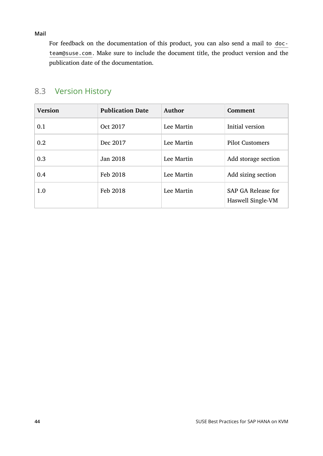**Mail**

For feedback on the documentation of this product, you can also send a mail to docteam@suse.com . Make sure to include the document title, the product version and the publication date of the documentation.

# 8.3 Version History

| <b>Version</b> | <b>Publication Date</b> | Author     | Comment                                 |
|----------------|-------------------------|------------|-----------------------------------------|
| 0.1            | Oct 2017                | Lee Martin | Initial version                         |
| 0.2            | Dec 2017                | Lee Martin | <b>Pilot Customers</b>                  |
| 0.3            | Jan 2018                | Lee Martin | Add storage section                     |
| 0.4            | Feb 2018                | Lee Martin | Add sizing section                      |
| 1.0            | Feb 2018                | Lee Martin | SAP GA Release for<br>Haswell Single-VM |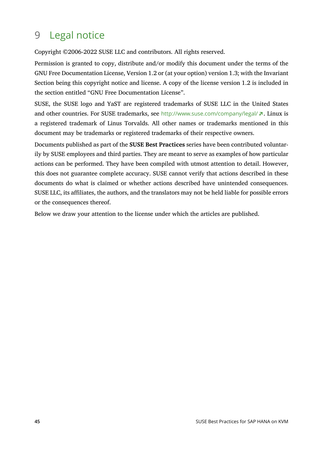# <span id="page-44-0"></span>9 Legal notice

Copyright ©2006-2022 SUSE LLC and contributors. All rights reserved.

Permission is granted to copy, distribute and/or modify this document under the terms of the GNU Free Documentation License, Version 1.2 or (at your option) version 1.3; with the Invariant Section being this copyright notice and license. A copy of the license version 1.2 is included in the section entitled "GNU Free Documentation License".

SUSE, the SUSE logo and YaST are registered trademarks of SUSE LLC in the United States and other countries. For SUSE trademarks, see <http://www.suse.com/company/legal/> a. Linux is a registered trademark of Linus Torvalds. All other names or trademarks mentioned in this document may be trademarks or registered trademarks of their respective owners.

Documents published as part of the **SUSE Best Practices** series have been contributed voluntarily by SUSE employees and third parties. They are meant to serve as examples of how particular actions can be performed. They have been compiled with utmost attention to detail. However, this does not guarantee complete accuracy. SUSE cannot verify that actions described in these documents do what is claimed or whether actions described have unintended consequences. SUSE LLC, its affiliates, the authors, and the translators may not be held liable for possible errors or the consequences thereof.

Below we draw your attention to the license under which the articles are published.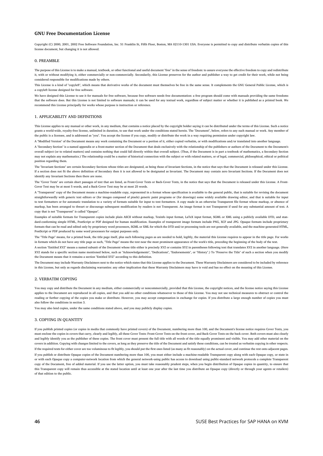#### <span id="page-45-0"></span>**GNU Free Documentation License**

Copyright (C) 2000, 2001, 2002 Free Software Foundation, Inc. 51 Franklin St, Fifth Floor, Boston, MA 02110-1301 USA. Everyone is permitted to copy and distribute verbatim copies of this license document, but changing it is not allowed.

#### 0. PREAMBLE

The purpose of this License is to make a manual, textbook, or other functional and useful document "free" in the sense of freedom: to assure everyone the effective freedom to copy and redistribute it, with or without modifying it, either commercially or non-commercially. Secondarily, this License preserves for the author and publisher a way to get credit for their work, while not being considered responsible for modifications made by others.

This License is a kind of "copyleft", which means that derivative works of the document must themselves be free in the same sense. It complements the GNU General Public License, which is a copyleft license designed for free software.

We have designed this License to use it for manuals for free software, because free software needs free documentation: a free program should come with manuals providing the same freedoms that the software does. But this License is not limited to software manuals; it can be used for any textual work, regardless of subject matter or whether it is published as a printed book. We recommend this License principally for works whose purpose is instruction or reference.

#### 1. APPLICABILITY AND DEFINITIONS

This License applies to any manual or other work, in any medium, that contains a notice placed by the copyright holder saying it can be distributed under the terms of this License. Such a notice grants a world-wide, royalty-free license, unlimited in duration, to use that work under the conditions stated herein. The "Document", below, refers to any such manual or work. Any member of the public is a licensee, and is addressed as "you". You accept the license if you copy, modify or distribute the work in a way requiring permission under copyright law.

A "Modified Version" of the Document means any work containing the Document or a portion of it, either copied verbatim, or with modifications and/or translated into another language.

A "Secondary Section" is a named appendix or a front-matter section of the Document that deals exclusively with the relationship of the publishers or authors of the Document to the Document's overall subject (or to related matters) and contains nothing that could fall directly within that overall subject. (Thus, if the Document is in part a textbook of mathematics, a Secondary Section may not explain any mathematics.) The relationship could be a matter of historical connection with the subject or with related matters, or of legal, commercial, philosophical, ethical or political position regarding them.

The "Invariant Sections" are certain Secondary Sections whose titles are designated, as being those of Invariant Sections, in the notice that says that the Document is released under this License. If a section does not fit the above definition of Secondary then it is not allowed to be designated as Invariant. The Document may contain zero Invariant Sections. If the Document does not identify any Invariant Sections then there are none.

The "Cover Texts" are certain short passages of text that are listed, as Front-Cover Texts or Back-Cover Texts, in the notice that says that the Document is released under this License. A Front-Cover Text may be at most 5 words, and a Back-Cover Text may be at most 25 words.

A "Transparent" copy of the Document means a machine-readable copy, represented in a format whose specification is available to the general public, that is suitable for revising the document straightforwardly with generic text editors or (for images composed of pixels) generic paint programs or (for drawings) some widely available drawing editor, and that is suitable for input to text formatters or for automatic translation to a variety of formats suitable for input to text formatters. A copy made in an otherwise Transparent file format whose markup, or absence of markup, has been arranged to thwart or discourage subsequent modification by readers is not Transparent. An image format is not Transparent if used for any substantial amount of text. A copy that is not "Transparent" is called "Opaque".

Examples of suitable formats for Transparent copies include plain ASCII without markup, Texinfo input format, LaTeX input format, SGML or XML using a publicly available DTD, and standard-conforming simple HTML, PostScript or PDF designed for human modification. Examples of transparent image formats include PNG, XCF and JPG. Opaque formats include proprietary formats that can be read and edited only by proprietary word processors, SGML or XML for which the DTD and/or processing tools are not generally available, and the machine-generated HTML, PostScript or PDF produced by some word processors for output purposes only.

The "Title Page" means, for a printed book, the title page itself, plus such following pages as are needed to hold, legibly, the material this License requires to appear in the title page. For works in formats which do not have any title page as such, "Title Page" means the text near the most prominent appearance of the work's title, preceding the beginning of the body of the text.

A section "Entitled XYZ" means a named subunit of the Document whose title either is precisely XYZ or contains XYZ in parentheses following text that translates XYZ in another language. (Here XYZ stands for a specific section name mentioned below, such as "Acknowledgements", "Dedications", "Endorsements", or "History".) To "Preserve the Title" of such a section when you modify the Document means that it remains a section "Entitled XYZ" according to this definition.

The Document may include Warranty Disclaimers next to the notice which states that this License applies to the Document. These Warranty Disclaimers are considered to be included by reference in this License, but only as regards disclaiming warranties: any other implication that these Warranty Disclaimers may have is void and has no effect on the meaning of this License.

#### 2. VERBATIM COPYING

You may copy and distribute the Document in any medium, either commercially or noncommercially, provided that this License, the copyright notices, and the license notice saying this License applies to the Document are reproduced in all copies, and that you add no other conditions whatsoever to those of this License. You may not use technical measures to obstruct or control the reading or further copying of the copies you make or distribute. However, you may accept compensation in exchange for copies. If you distribute a large enough number of copies you must also follow the conditions in section 3.

You may also lend copies, under the same conditions stated above, and you may publicly display copies.

#### 3. COPYING IN QUANTITY

If you publish printed copies (or copies in media that commonly have printed covers) of the Document, numbering more than 100, and the Document's license notice requires Cover Texts, you must enclose the copies in covers that carry, clearly and legibly, all these Cover Texts: Front-Cover Texts on the front cover, and Back-Cover Texts on the back cover. Both covers must also clearly and legibly identify you as the publisher of these copies. The front cover must present the full title with all words of the title equally prominent and visible. You may add other material on the covers in addition. Copying with changes limited to the covers, as long as they preserve the title of the Document and satisfy these conditions, can be treated as verbatim copying in other respects. If the required texts for either cover are too voluminous to fit legibly, you should put the first ones listed (as many as fit reasonably) on the actual cover, and continue the rest onto adjacent pages. If you publish or distribute Opaque copies of the Document numbering more than 100, you must either include a machine-readable Transparent copy along with each Opaque copy, or state in or with each Opaque copy a computer-network location from which the general network-using public has access to download using public-standard network protocols a complete Transparent copy of the Document, free of added material. If you use the latter option, you must take reasonably prudent steps, when you begin distribution of Opaque copies in quantity, to ensure that this Transparent copy will remain thus accessible at the stated location until at least one year after the last time you distribute an Opaque copy (directly or through your agents or retailers) of that edition to the public.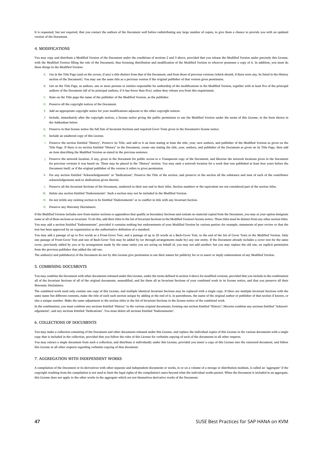It is requested, but not required, that you contact the authors of the Document well before redistributing any large number of copies, to give them a chance to provide you with an updated version of the Document.

#### 4. MODIFICATIONS

You may copy and distribute a Modified Version of the Document under the conditions of sections 2 and 3 above, provided that you release the Modified Version under precisely this License, with the Modified Version filling the role of the Document, thus licensing distribution and modification of the Modified Version to whoever possesses a copy of it. In addition, you must do these things in the Modified Version:

- **A.** Use in the Title Page (and on the covers, if any) a title distinct from that of the Document, and from those of previous versions (which should, if there were any, be listed in the History section of the Document). You may use the same title as a previous version if the original publisher of that version gives permission.
- **B.** List on the Title Page, as authors, one or more persons or entities responsible for authorship of the modifications in the Modified Version, together with at least five of the principal authors of the Document (all of its principal authors, if it has fewer than five), unless they release you from this requirement.
- **C.** State on the Title page the name of the publisher of the Modified Version, as the publisher.
- **D.** Preserve all the copyright notices of the Document.
- **E.** Add an appropriate copyright notice for your modifications adjacent to the other copyright notices.
- **F.** Include, immediately after the copyright notices, a license notice giving the public permission to use the Modified Version under the terms of this License, in the form shown in the Addendum below.
- **G.** Preserve in that license notice the full lists of Invariant Sections and required Cover Texts given in the Document's license notice.
- **H.** Include an unaltered copy of this License.
- 1. Preserve the section Entitled "History", Preserve its Title, and add to it an item stating at least the title, year, new authors, and publisher of the Modified Version as given on the Title Page. If there is no section Entitled "History" in the Document, create one stating the title, year, authors, and publisher of the Document as given on its Title Page, then add an item describing the Modified Version as stated in the previous sentence.
- **J.** Preserve the network location, if any, given in the Document for public access to a Transparent copy of the Document, and likewise the network locations given in the Document for previous versions it was based on. These may be placed in the "History" section. You may omit a network location for a work that was published at least four years before the Document itself, or if the original publisher of the version it refers to gives permission.
- **K.** For any section Entitled "Acknowledgements" or "Dedications", Preserve the Title of the section, and preserve in the section all the substance and tone of each of the contributor acknowledgements and/or dedications given therein.
- **L.** Preserve all the Invariant Sections of the Document, unaltered in their text and in their titles. Section numbers or the equivalent are not considered part of the section titles.
- **M.** Delete any section Entitled "Endorsements". Such a section may not be included in the Modified Version.
- **N.** Do not retitle any existing section to be Entitled "Endorsements" or to conflict in title with any Invariant Section.
- **O.** Preserve any Warranty Disclaimers.

If the Modified Version includes new front-matter sections or appendices that qualify as Secondary Sections and contain no material copied from the Document, you may at your option designate e or all of these sections as invariant. To do this, add their titles to the list of Invariant Sections in the Modified Version's license notice. These titles must be distinct from any other section titles. You may add a section Entitled "Endorsements", provided it contains nothing but endorsements of your Modified Version by various parties--for example, statements of peer review or that the text has been approved by an organization as the authoritative definition of a standard.

You may add a passage of up to five words as a Front-Cover Text, and a passage of up to 25 words as a Back-Cover Text, to the end of the list of Cover Texts in the Modified Version. Only one passage of Front-Cover Text and one of Back-Cover Text may be added by (or through arrangements made by) any one entity. If the Document already includes a cover text for the same cover, previously added by you or by arrangement made by the same entity you are acting on behalf of, you may not add another; but you may replace the old one, on explicit permission from the previous publisher that added the old one.

The author(s) and publisher(s) of the Document do not by this License give permission to use their names for publicity for or to assert or imply endorsement of any Modified Version.

#### 5. COMBINING DOCUMENTS

You may combine the Document with other documents released under this License, under the terms defined in section 4 above for modified versions, provided that you include in the combination all of the Invariant Sections of all of the original documents, unmodified, and list them all as Invariant Sections of your combined work in its license notice, and that you preserve all their Warranty Disclaimers.

The combined work need only contain one copy of this License, and multiple identical Invariant Sections may be replaced with a single copy. If there are multiple Invariant Sections with the same name but different contents, make the title of each such section unique by adding at the end of it, in parentheses, the name of the original author or publisher of that section if known, or else a unique number. Make the same adjustment to the section titles in the list of Invariant Sections in the license notice of the combined work.

In the combination, you must combine any sections Entitled "History" in the various original documents, forming one section Entitled "History"; likewise combine any sections Entitled "Acknowledgements", and any sections Entitled "Dedications". You must delete all sections Entitled "Endorsements".

#### 6. COLLECTIONS OF DOCUMENTS

You may make a collection consisting of the Document and other documents released under this License, and replace the individual copies of this License in the various documents with a single copy that is included in the collection, provided that you follow the rules of this License for verbatim copying of each of the documents in all other respects.

You may extract a single document from such a collection, and distribute it individually under this License, provided you insert a copy of this License into the extracted document, and follow this License in all other respects regarding verbatim copying of that document.

#### 7. AGGREGATION WITH INDEPENDENT WORKS

A compilation of the Document or its derivatives with other separate and independent documents or works, in or on a volume of a storage or distribution medium, is called an "aggregate" if the copyright resulting from the compilation is not used to limit the legal rights of the compilation's users beyond what the individual works permit. When the Document is included in an aggregate, this License does not apply to the other works in the aggregate which are not themselves derivative works of the Document.